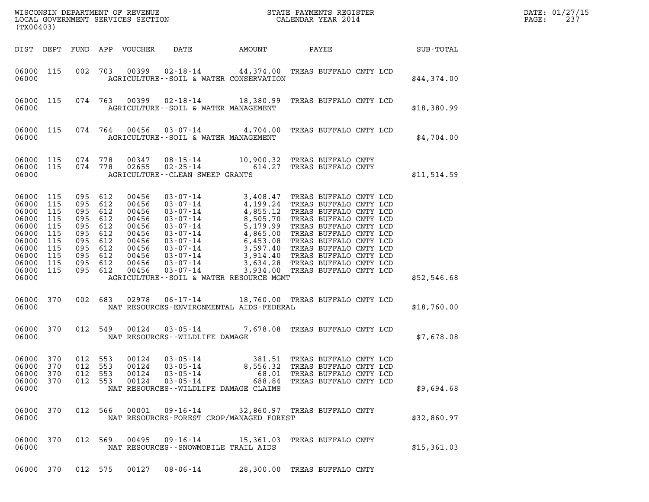| DATE: | 01/27/15 |
|-------|----------|
| PAGE: | 237      |

| (TX00403)                                                                                                        |                                                             |                                                                                                               |            |                                                                                                 |                                                                                                               |                             |                                                                                                                                                                                                                                                    |             | DATE: 01/27/15<br>PAGE:<br>237 |
|------------------------------------------------------------------------------------------------------------------|-------------------------------------------------------------|---------------------------------------------------------------------------------------------------------------|------------|-------------------------------------------------------------------------------------------------|---------------------------------------------------------------------------------------------------------------|-----------------------------|----------------------------------------------------------------------------------------------------------------------------------------------------------------------------------------------------------------------------------------------------|-------------|--------------------------------|
| DIST DEPT                                                                                                        |                                                             |                                                                                                               |            | FUND APP VOUCHER                                                                                | DATE                                                                                                          |                             |                                                                                                                                                                                                                                                    |             |                                |
| 06000 115<br>06000                                                                                               |                                                             |                                                                                                               |            |                                                                                                 | AGRICULTURE -- SOIL & WATER CONSERVATION                                                                      |                             | 002 703 00399 02-18-14 44,374.00 TREAS BUFFALO CNTY LCD                                                                                                                                                                                            | \$44,374.00 |                                |
| 06000 115<br>06000                                                                                               |                                                             |                                                                                                               |            |                                                                                                 | AGRICULTURE--SOIL & WATER MANAGEMENT                                                                          |                             | 074 763 00399 02-18-14 18,380.99 TREAS BUFFALO CNTY LCD                                                                                                                                                                                            | \$18,380.99 |                                |
| 06000 115<br>06000                                                                                               |                                                             |                                                                                                               |            |                                                                                                 | AGRICULTURE--SOIL & WATER MANAGEMENT                                                                          |                             | 074  764  00456  03-07-14  4,704.00  TREAS BUFFALO CNTY LCD                                                                                                                                                                                        | \$4,704.00  |                                |
| 06000 115 074 778<br>06000 115<br>06000                                                                          |                                                             | 074 778                                                                                                       |            |                                                                                                 | AGRICULTURE--CLEAN SWEEP GRANTS                                                                               |                             | 00347 08-15-14 10,900.32 TREAS BUFFALO CNTY<br>02655 02-25-14 614.27 TREAS BUFFALO CNTY                                                                                                                                                            | \$11,514.59 |                                |
| 06000 115<br>06000 115<br>06000<br>06000<br>06000<br>06000<br>06000<br>06000<br>06000<br>06000<br>06000<br>06000 | 115<br>115<br>115<br>115<br>115<br>115<br>115<br>115<br>115 | 095<br>095 612<br>095 612<br>095 612<br>095<br>095 612<br>095 612<br>095 612<br>095 612<br>095 612<br>095 612 | 612<br>612 | 00456<br>00456<br>00456<br>00456<br>00456<br>00456<br>00456<br>00456<br>00456<br>00456<br>00456 | AGRICULTURE--SOIL & WATER RESOURCE MGMT                                                                       |                             | 03-07-14<br>03-07-14<br>4,199.24 TREAS BUFFALO CNTY LCD<br>03-07-14<br>4,855.12 TREAS BUFFALO CNTY LCD<br>03-07-14<br>5,179.99 TREAS BUFFALO CNTY LCD<br>03-07-14<br>4,865.00 TREAS BUFFALO CNTY LCD<br>03-07-14<br>4,865.00 TREAS BUFFALO CNTY LC | \$52,546.68 |                                |
| 06000 370<br>06000                                                                                               |                                                             | 002 683                                                                                                       |            | 02978                                                                                           | NAT RESOURCES-ENVIRONMENTAL AIDS-FEDERAL                                                                      |                             | 06-17-14 18,760.00 TREAS BUFFALO CNTY LCD                                                                                                                                                                                                          | \$18,760.00 |                                |
| 06000 370<br>06000                                                                                               |                                                             | 012 549                                                                                                       |            | 00124                                                                                           | NAT RESOURCES - - WILDLIFE DAMAGE                                                                             |                             | 03-05-14 7,678.08 TREAS BUFFALO CNTY LCD                                                                                                                                                                                                           | \$7,678.08  |                                |
| 06000<br>06000<br>06000<br>06000<br>06000                                                                        | 370<br>370<br>370<br>370                                    | 012<br>012 553<br>012 553<br>012 553                                                                          | 553        | 00124<br>00124<br>00124<br>00124                                                                | $03 - 05 - 14$<br>$03 - 05 - 14$<br>$03 - 05 - 14$<br>$03 - 05 - 14$<br>NAT RESOURCES--WILDLIFE DAMAGE CLAIMS | 381.51<br>8,556.32<br>68.01 | TREAS BUFFALO CNTY LCD<br>TREAS BUFFALO CNTY LCD<br>TREAS BUFFALO CNTY LCD<br>688.84 TREAS BUFFALO CNTY LCD                                                                                                                                        | \$9,694.68  |                                |
| 06000 370<br>06000                                                                                               |                                                             | 012 566                                                                                                       |            | 00001                                                                                           | 09-16-14<br>NAT RESOURCES-FOREST CROP/MANAGED FOREST                                                          |                             | 32,860.97 TREAS BUFFALO CNTY                                                                                                                                                                                                                       | \$32,860.97 |                                |
| 06000 370<br>06000                                                                                               |                                                             | 012 569                                                                                                       |            | 00495                                                                                           | $09 - 16 - 14$<br>NAT RESOURCES - - SNOWMOBILE TRAIL AIDS                                                     |                             | 15,361.03 TREAS BUFFALO CNTY                                                                                                                                                                                                                       | \$15,361.03 |                                |

06000 370 012 575 00127 08-06-14 28,300.00 TREAS BUFFALO CNTY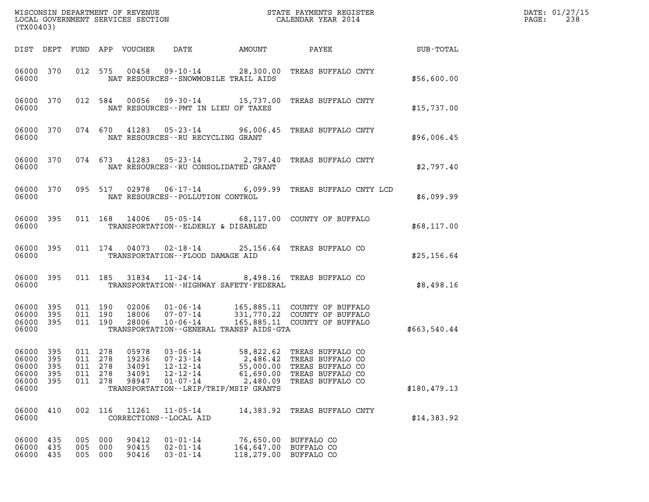| (TX00403)                                              |                          |                          |                                     |                                           | WISCONSIN DEPARTMENT OF REVENUE<br>LOCAL GOVERNMENT SERVICES SECTION                   |                                                                                            | STATE PAYMENTS REGISTER<br>CALENDAR YEAR 2014                                                              |              | DATE: 01/27/15<br>PAGE:<br>238 |
|--------------------------------------------------------|--------------------------|--------------------------|-------------------------------------|-------------------------------------------|----------------------------------------------------------------------------------------|--------------------------------------------------------------------------------------------|------------------------------------------------------------------------------------------------------------|--------------|--------------------------------|
| DIST DEPT                                              |                          |                          |                                     | FUND APP VOUCHER                          | DATE                                                                                   | AMOUNT                                                                                     | PAYEE                                                                                                      | SUB-TOTAL    |                                |
| 06000 370<br>06000                                     |                          |                          | 012 575                             | 00458                                     |                                                                                        | NAT RESOURCES - - SNOWMOBILE TRAIL AIDS                                                    | 09-10-14 28,300.00 TREAS BUFFALO CNTY                                                                      | \$56,600.00  |                                |
| 06000 370<br>06000                                     |                          |                          | 012 584                             | 00056                                     | NAT RESOURCES -- PMT IN LIEU OF TAXES                                                  |                                                                                            | 09-30-14 15,737.00 TREAS BUFFALO CNTY                                                                      | \$15,737.00  |                                |
| 06000                                                  | 06000 370                |                          | 074 670                             | 41283                                     | NAT RESOURCES - - RU RECYCLING GRANT                                                   |                                                                                            | 05-23-14 96,006.45 TREAS BUFFALO CNTY                                                                      | \$96,006.45  |                                |
| 06000 370<br>06000                                     |                          |                          | 074 673                             | 41283                                     | 05-23-14                                                                               | NAT RESOURCES - - RU CONSOLIDATED GRANT                                                    | 2,797.40 TREAS BUFFALO CNTY                                                                                | \$2,797.40   |                                |
| 06000                                                  | 06000 370                |                          | 095 517                             | 02978                                     | NAT RESOURCES - - POLLUTION CONTROL                                                    |                                                                                            | 06-17-14 6,099.99 TREAS BUFFALO CNTY LCD                                                                   | \$6,099.99   |                                |
| 06000 395<br>06000                                     |                          |                          |                                     | 011 168 14006                             | TRANSPORTATION--ELDERLY & DISABLED                                                     |                                                                                            | 05-05-14 68,117.00 COUNTY OF BUFFALO                                                                       | \$68,117.00  |                                |
| 06000 395<br>06000                                     |                          |                          |                                     | 011 174 04073                             | TRANSPORTATION--FLOOD DAMAGE AID                                                       |                                                                                            | 02-18-14 25,156.64 TREAS BUFFALO CO                                                                        | \$25,156.64  |                                |
| 06000 395<br>06000                                     |                          |                          | 011 185                             | 31834                                     | $11 - 24 - 14$                                                                         | TRANSPORTATION - - HIGHWAY SAFETY - FEDERAL                                                | 8,498.16 TREAS BUFFALO CO                                                                                  | \$8,498.16   |                                |
| 06000 395<br>06000<br>06000 395<br>06000               | 395                      | 011 190<br>011 190       | 011 190                             | 02006<br>18006<br>28006                   | $01 - 06 - 14$<br>$07 - 07 - 14$<br>$10 - 06 - 14$                                     | TRANSPORTATION--GENERAL TRANSP AIDS-GTA                                                    | 165,885.11 COUNTY OF BUFFALO<br>331,770.22 COUNTY OF BUFFALO<br>165,885.11 COUNTY OF BUFFALO               | \$663,540.44 |                                |
| 06000 395<br>06000<br>06000<br>06000<br>06000<br>06000 | 395<br>395<br>395<br>395 | 011<br>011<br>011<br>011 | 011 278<br>278<br>278<br>278<br>278 | 05978<br>19236<br>34091<br>34091<br>98947 | $03 - 06 - 14$<br>$07 - 23 - 14$<br>$12 - 12 - 14$<br>$12 - 12 - 14$<br>$01 - 07 - 14$ | 2,486.42<br>55,000.00<br>61,690.00<br>2,480.09<br>TRANSPORTATION - - LRIP/TRIP/MSIP GRANTS | 58,822.62 TREAS BUFFALO CO<br>TREAS BUFFALO CO<br>TREAS BUFFALO CO<br>TREAS BUFFALO CO<br>TREAS BUFFALO CO | \$180,479.13 |                                |
| 06000<br>06000                                         | 410                      | 002                      | 116                                 | 11261                                     | $11 - 05 - 14$<br>CORRECTIONS - - LOCAL AID                                            | 14,383.92                                                                                  | TREAS BUFFALO CNTY                                                                                         | \$14,383.92  |                                |
| 06000<br>06000<br>06000                                | 435<br>435<br>435        | 005<br>005<br>005        | 000<br>000<br>000                   | 90412<br>90415<br>90416                   | $01 - 01 - 14$<br>$02 - 01 - 14$<br>$03 - 01 - 14$                                     | 76,650.00<br>164,647.00<br>118,279.00                                                      | BUFFALO CO<br>BUFFALO CO<br>BUFFALO CO                                                                     |              |                                |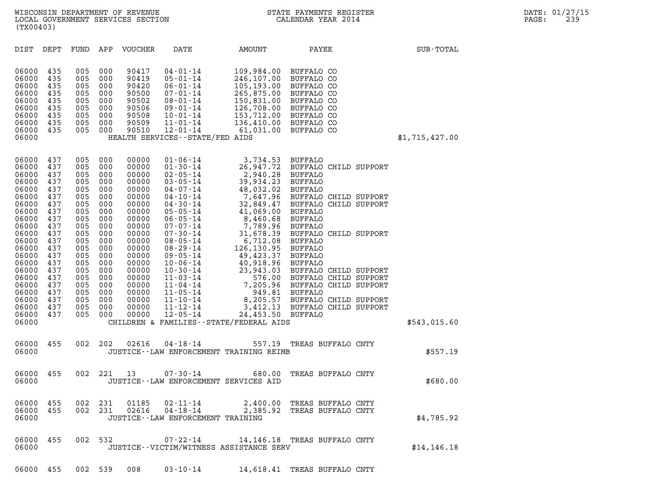| (TX00403)                                                                                                                                                                                                                                                                                                                                    |                                                                                                                                                                                                                                                                                                    |                                                                                                                                                                                                                                                                                                                                                                                                                                                                                                                                                                                     |                                                                                                                                                                                                                              |                                                                                                                                                                                                                                                                                                                                                                      |                |
|----------------------------------------------------------------------------------------------------------------------------------------------------------------------------------------------------------------------------------------------------------------------------------------------------------------------------------------------|----------------------------------------------------------------------------------------------------------------------------------------------------------------------------------------------------------------------------------------------------------------------------------------------------|-------------------------------------------------------------------------------------------------------------------------------------------------------------------------------------------------------------------------------------------------------------------------------------------------------------------------------------------------------------------------------------------------------------------------------------------------------------------------------------------------------------------------------------------------------------------------------------|------------------------------------------------------------------------------------------------------------------------------------------------------------------------------------------------------------------------------|----------------------------------------------------------------------------------------------------------------------------------------------------------------------------------------------------------------------------------------------------------------------------------------------------------------------------------------------------------------------|----------------|
| DIST<br>DEPT                                                                                                                                                                                                                                                                                                                                 | FUND<br>APP                                                                                                                                                                                                                                                                                        | VOUCHER<br>DATE                                                                                                                                                                                                                                                                                                                                                                                                                                                                                                                                                                     | AMOUNT                                                                                                                                                                                                                       | PAYEE                                                                                                                                                                                                                                                                                                                                                                | SUB-TOTAL      |
| 06000<br>435<br>06000<br>435<br>06000<br>435<br>06000<br>435<br>06000<br>435<br>06000<br>435<br>06000<br>435<br>06000<br>435<br>06000<br>435<br>06000                                                                                                                                                                                        | 005<br>000<br>005<br>000<br>005<br>000<br>005<br>000<br>000<br>005<br>005<br>000<br>005<br>000<br>000<br>005<br>000<br>005                                                                                                                                                                         | 90417<br>$04 - 01 - 14$<br>90419<br>$05 - 01 - 14$<br>90420<br>$06 - 01 - 14$<br>90500<br>$07 - 01 - 14$<br>90502<br>$08 - 01 - 14$<br>90506<br>$09 - 01 - 14$<br>90508<br>$10 - 01 - 14$<br>90509<br>$11 - 01 - 14$<br>90510<br>$12 - 01 - 14$<br>HEALTH SERVICES -- STATE/FED AIDS                                                                                                                                                                                                                                                                                                | 109,984.00 BUFFALO CO<br>246,107.00 BUFFALO CO<br>105,193.00 BUFFALO CO<br>265,875.00 BUFFALO CO<br>150,831.00 BUFFALO CO<br>126,708.00 BUFFALO CO<br>153,712.00 BUFFALO CO<br>136,410.00 BUFFALO CO<br>61,031.00 BUFFALO CO |                                                                                                                                                                                                                                                                                                                                                                      | \$1,715,427.00 |
| 06000<br>437<br>06000<br>437<br>06000<br>437<br>06000<br>437<br>06000<br>437<br>06000<br>437<br>06000<br>437<br>06000<br>437<br>06000<br>437<br>06000<br>437<br>06000<br>437<br>06000<br>437<br>06000<br>437<br>06000<br>437<br>06000<br>437<br>06000<br>437<br>06000<br>437<br>06000<br>437<br>06000<br>437<br>06000<br>437<br>06000<br>437 | 005<br>000<br>005<br>000<br>005<br>000<br>005<br>000<br>000<br>005<br>005<br>000<br>005<br>000<br>005<br>000<br>005<br>000<br>005<br>000<br>005<br>000<br>005<br>000<br>005<br>000<br>005<br>000<br>005<br>000<br>005<br>000<br>005<br>000<br>005<br>000<br>005<br>000<br>005<br>000<br>000<br>005 | 00000<br>$01 - 06 - 14$<br>00000<br>$01 - 30 - 14$<br>00000<br>$02 - 05 - 14$<br>00000<br>$03 - 05 - 14$<br>00000<br>$04 - 07 - 14$<br>00000<br>$04 - 10 - 14$<br>00000<br>$04 - 30 - 14$<br>00000<br>$05 - 05 - 14$<br>00000<br>$06 - 05 - 14$<br>00000<br>$07 - 07 - 14$<br>00000<br>$07 - 30 - 14$<br>00000<br>$08 - 05 - 14$<br>00000<br>$08 - 29 - 14$<br>00000<br>$09 - 05 - 14$<br>00000<br>$10 - 06 - 14$<br>00000<br>$10 - 30 - 14$<br>00000<br>$11 - 03 - 14$<br>00000<br>$11 - 04 - 14$<br>00000<br>$11 - 05 - 14$<br>00000<br>$11 - 10 - 14$<br>$11 - 12 - 14$<br>00000 | 3,734.53 BUFFALO<br>2,940.28 BUFFALO<br>39,934.23<br>48,032.02 BUFFALO<br>41,069.00 BUFFALO<br>8,460.68<br>7,789.96 BUFFALO<br>6,712.08 BUFFALO<br>126,130.95<br>49,423.37<br>40,918.96 BUFFALO<br>23,943.03                 | 26,947.72 BUFFALO CHILD SUPPORT<br>BUFFALO<br>7,647.96 BUFFALO CHILD SUPPORT<br>32,849.47 BUFFALO CHILD SUPPORT<br>BUFFALO<br>31,678.39 BUFFALO CHILD SUPPORT<br>BUFFALO<br>BUFFALO<br>BUFFALO CHILD SUPPORT<br>576.00 BUFFALO CHILD SUPPORT<br>7,205.96 BUFFALO CHILD SUPPORT<br>949.81 BUFFALO<br>8,205.57 BUFFALO CHILD SUPPORT<br>3,412.13 BUFFALO CHILD SUPPORT |                |
| 06000<br>437<br>06000                                                                                                                                                                                                                                                                                                                        | 005<br>000                                                                                                                                                                                                                                                                                         | 00000<br>$12 - 05 - 14$<br>CHILDREN & FAMILIES - - STATE/FEDERAL AIDS                                                                                                                                                                                                                                                                                                                                                                                                                                                                                                               | 24,453.50 BUFFALO                                                                                                                                                                                                            |                                                                                                                                                                                                                                                                                                                                                                      | \$543,015.60   |
| 06000<br>455<br>06000                                                                                                                                                                                                                                                                                                                        | 002<br>202                                                                                                                                                                                                                                                                                         | 02616<br>$04 - 18 - 14$<br>JUSTICE -- LAW ENFORCEMENT TRAINING REIMB                                                                                                                                                                                                                                                                                                                                                                                                                                                                                                                | 557.19                                                                                                                                                                                                                       | TREAS BUFFALO CNTY                                                                                                                                                                                                                                                                                                                                                   | \$557.19       |
| 06000<br>455<br>06000                                                                                                                                                                                                                                                                                                                        | 002<br>221                                                                                                                                                                                                                                                                                         | 13<br>$07 - 30 - 14$<br>JUSTICE--LAW ENFORCEMENT SERVICES AID                                                                                                                                                                                                                                                                                                                                                                                                                                                                                                                       | 680.00                                                                                                                                                                                                                       | TREAS BUFFALO CNTY                                                                                                                                                                                                                                                                                                                                                   | \$680.00       |
| 06000<br>455<br>06000<br>455<br>06000                                                                                                                                                                                                                                                                                                        | 231<br>002<br>002<br>231                                                                                                                                                                                                                                                                           | 01185<br>02-11-14<br>02616<br>$04 - 18 - 14$<br>JUSTICE--LAW ENFORCEMENT TRAINING                                                                                                                                                                                                                                                                                                                                                                                                                                                                                                   | 2,385.92                                                                                                                                                                                                                     | 2,400.00 TREAS BUFFALO CNTY<br>TREAS BUFFALO CNTY                                                                                                                                                                                                                                                                                                                    | \$4,785.92     |
| 455<br>06000<br>06000                                                                                                                                                                                                                                                                                                                        | 002 532                                                                                                                                                                                                                                                                                            | $07 - 22 - 14$<br>JUSTICE -- VICTIM/WITNESS ASSISTANCE SERV                                                                                                                                                                                                                                                                                                                                                                                                                                                                                                                         |                                                                                                                                                                                                                              | 14,146.18 TREAS BUFFALO CNTY                                                                                                                                                                                                                                                                                                                                         | \$14, 146.18   |
| 06000 455                                                                                                                                                                                                                                                                                                                                    | 002 539                                                                                                                                                                                                                                                                                            | 008<br>$03 - 10 - 14$                                                                                                                                                                                                                                                                                                                                                                                                                                                                                                                                                               |                                                                                                                                                                                                                              | 14,618.41 TREAS BUFFALO CNTY                                                                                                                                                                                                                                                                                                                                         |                |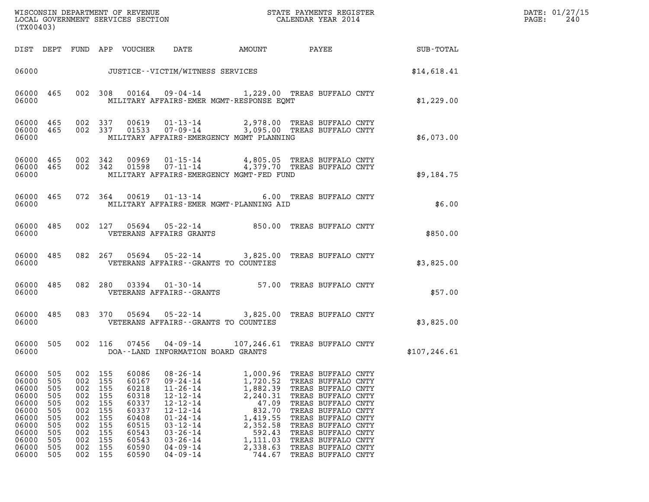| (TX00403)                                                                                                |                                                                                  |                                                                                  |                                                                                  |                                                                                                          |                                                                                                                                                                                                                |                                                                                                                                                                          |                                                                                                                                                                                                                                                                      |               | DATE: 01/27/15<br>$\mathtt{PAGE:}$<br>240 |
|----------------------------------------------------------------------------------------------------------|----------------------------------------------------------------------------------|----------------------------------------------------------------------------------|----------------------------------------------------------------------------------|----------------------------------------------------------------------------------------------------------|----------------------------------------------------------------------------------------------------------------------------------------------------------------------------------------------------------------|--------------------------------------------------------------------------------------------------------------------------------------------------------------------------|----------------------------------------------------------------------------------------------------------------------------------------------------------------------------------------------------------------------------------------------------------------------|---------------|-------------------------------------------|
|                                                                                                          |                                                                                  |                                                                                  |                                                                                  |                                                                                                          |                                                                                                                                                                                                                | DIST DEPT FUND APP VOUCHER  DATE          AMOUNT          PAYEE                SUB-TOTAL                                                                                 |                                                                                                                                                                                                                                                                      |               |                                           |
|                                                                                                          |                                                                                  |                                                                                  |                                                                                  |                                                                                                          | 06000 JUSTICE - VICTIM/WITNESS SERVICES                                                                                                                                                                        |                                                                                                                                                                          |                                                                                                                                                                                                                                                                      | \$14,618.41   |                                           |
| 06000                                                                                                    |                                                                                  |                                                                                  |                                                                                  |                                                                                                          |                                                                                                                                                                                                                | 06000 465 002 308 00164 09-04-14 1,229.00 TREAS BUFFALO CNTY<br>MILITARY AFFAIRS-EMER MGMT-RESPONSE EOMT                                                                 |                                                                                                                                                                                                                                                                      | \$1,229.00    |                                           |
| 06000                                                                                                    |                                                                                  |                                                                                  |                                                                                  |                                                                                                          |                                                                                                                                                                                                                | 06000 465 002 337 00619 01-13-14 2,978.00 TREAS BUFFALO CNTY<br>06000 465 002 337 01533 07-09-14 3,095.00 TREAS BUFFALO CNTY<br>MILITARY AFFAIRS-EMERGENCY MGMT PLANNING |                                                                                                                                                                                                                                                                      | \$6,073.00    |                                           |
| 06000                                                                                                    |                                                                                  |                                                                                  |                                                                                  |                                                                                                          |                                                                                                                                                                                                                | 06000 465 002 342 00969 01-15-14 4,805.05 TREAS BUFFALO CNTY<br>06000 465 002 342 01598 07-11-14 4,379.70 TREAS BUFFALO CNTY<br>MILITARY AFFAIRS-EMERGENCY MGMT-FED FUND |                                                                                                                                                                                                                                                                      | \$9,184.75    |                                           |
| 06000                                                                                                    |                                                                                  |                                                                                  |                                                                                  |                                                                                                          |                                                                                                                                                                                                                | 06000 465 072 364 00619 01-13-14 6.00 TREAS BUFFALO CNTY<br>MILITARY AFFAIRS-EMER MGMT-PLANNING AID                                                                      |                                                                                                                                                                                                                                                                      | \$6.00        |                                           |
| 06000                                                                                                    |                                                                                  |                                                                                  |                                                                                  |                                                                                                          | VETERANS AFFAIRS GRANTS                                                                                                                                                                                        | 06000 485 002 127 05694 05-22-14 850.00 TREAS BUFFALO CNTY                                                                                                               |                                                                                                                                                                                                                                                                      | \$850.00      |                                           |
| 06000                                                                                                    |                                                                                  |                                                                                  |                                                                                  |                                                                                                          |                                                                                                                                                                                                                | 06000 485 082 267 05694 05-22-14 3,825.00 TREAS BUFFALO CNTY<br>VETERANS AFFAIRS--GRANTS TO COUNTIES                                                                     |                                                                                                                                                                                                                                                                      | \$3,825.00    |                                           |
| 06000                                                                                                    |                                                                                  |                                                                                  |                                                                                  |                                                                                                          | VETERANS AFFAIRS - - GRANTS                                                                                                                                                                                    | 06000 485 082 280 03394 01-30-14 57.00 TREAS BUFFALO CNTY                                                                                                                |                                                                                                                                                                                                                                                                      | \$57.00       |                                           |
| 06000                                                                                                    |                                                                                  |                                                                                  |                                                                                  |                                                                                                          |                                                                                                                                                                                                                | 06000 485 083 370 05694 05-22-14 3,825.00 TREAS BUFFALO CNTY<br>VETERANS AFFAIRS--GRANTS TO COUNTIES                                                                     |                                                                                                                                                                                                                                                                      | \$3,825.00    |                                           |
| 06000                                                                                                    |                                                                                  |                                                                                  |                                                                                  |                                                                                                          |                                                                                                                                                                                                                | 06000 505 002 116 07456 04-09-14 107,246.61 TREAS BUFFALO CNTY<br>DOA--LAND INFORMATION BOARD GRANTS                                                                     |                                                                                                                                                                                                                                                                      | \$107, 246.61 |                                           |
| 06000<br>06000<br>06000<br>06000<br>06000<br>06000<br>06000<br>06000<br>06000<br>06000<br>06000<br>06000 | 505<br>505<br>505<br>505<br>505<br>505<br>505<br>505<br>505<br>505<br>505<br>505 | 002<br>002<br>002<br>002<br>002<br>002<br>002<br>002<br>002<br>002<br>002<br>002 | 155<br>155<br>155<br>155<br>155<br>155<br>155<br>155<br>155<br>155<br>155<br>155 | 60086<br>60167<br>60218<br>60318<br>60337<br>60337<br>60408<br>60515<br>60543<br>60543<br>60590<br>60590 | $08 - 26 - 14$<br>$09 - 24 - 14$<br>$11 - 26 - 14$<br>$12 - 12 - 14$<br>$12 - 12 - 14$<br>$12 - 12 - 14$<br>$01 - 24 - 14$<br>$03 - 12 - 14$<br>$03 - 26 - 14$<br>$03 - 26 - 14$<br>04-09-14<br>$04 - 09 - 14$ | 1,000.96<br>1,720.52<br>1,882.39<br>2,240.31<br>47.09<br>832.70<br>1,419.55<br>2,352.58<br>592.43<br>1,111.03<br>2,338.63<br>744.67                                      | TREAS BUFFALO CNTY<br>TREAS BUFFALO CNTY<br>TREAS BUFFALO CNTY<br>TREAS BUFFALO CNTY<br>TREAS BUFFALO CNTY<br>TREAS BUFFALO CNTY<br>TREAS BUFFALO CNTY<br>TREAS BUFFALO CNTY<br>TREAS BUFFALO CNTY<br>TREAS BUFFALO CNTY<br>TREAS BUFFALO CNTY<br>TREAS BUFFALO CNTY |               |                                           |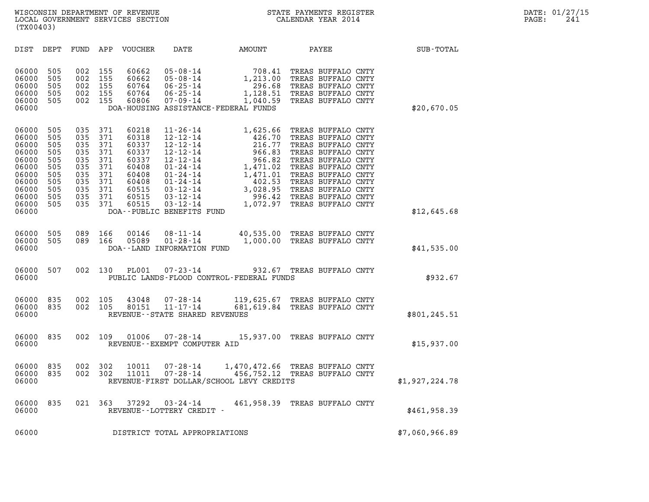| (TX00403)                                                                                                                                                                             |                                                                                                                                                                                                                                                           |                                                                                                                                                                                                                                 |                                                                                                                      |                                                                                                                                                                                                                                                |                |
|---------------------------------------------------------------------------------------------------------------------------------------------------------------------------------------|-----------------------------------------------------------------------------------------------------------------------------------------------------------------------------------------------------------------------------------------------------------|---------------------------------------------------------------------------------------------------------------------------------------------------------------------------------------------------------------------------------|----------------------------------------------------------------------------------------------------------------------|------------------------------------------------------------------------------------------------------------------------------------------------------------------------------------------------------------------------------------------------|----------------|
| DIST<br>DEPT                                                                                                                                                                          | FUND<br>APP<br>VOUCHER                                                                                                                                                                                                                                    | DATE                                                                                                                                                                                                                            | AMOUNT                                                                                                               | PAYEE                                                                                                                                                                                                                                          | SUB-TOTAL      |
| 06000<br>505<br>505<br>06000<br>06000<br>505<br>06000<br>505<br>505<br>06000<br>06000                                                                                                 | 002<br>155<br>60662<br>002<br>155<br>60662<br>002<br>60764<br>155<br>002<br>60764<br>155<br>002<br>155<br>60806                                                                                                                                           | $05 - 08 - 14$<br>$05 - 08 - 14$<br>$06 - 25 - 14$<br>$06 - 25 - 14$<br>$07 - 09 - 14$<br>DOA-HOUSING ASSISTANCE-FEDERAL FUNDS                                                                                                  | 708.41<br>1,213.00<br>296.68<br>1,128.51<br>1,040.59                                                                 | TREAS BUFFALO CNTY<br>TREAS BUFFALO CNTY<br>TREAS BUFFALO CNTY<br>TREAS BUFFALO CNTY<br>TREAS BUFFALO CNTY                                                                                                                                     | \$20,670.05    |
| 06000<br>505<br>505<br>06000<br>505<br>06000<br>06000<br>505<br>06000<br>505<br>06000<br>505<br>06000<br>505<br>06000<br>505<br>06000<br>505<br>06000<br>505<br>06000<br>505<br>06000 | 035<br>371<br>60218<br>035<br>371<br>60318<br>035<br>371<br>60337<br>035<br>371<br>60337<br>371<br>035<br>60337<br>035<br>371<br>60408<br>035<br>371<br>60408<br>035<br>371<br>60408<br>035<br>371<br>60515<br>035<br>371<br>60515<br>035<br>371<br>60515 | $11 - 26 - 14$<br>$12 - 12 - 14$<br>$12 - 12 - 14$<br>$12 - 12 - 14$<br>$12 - 12 - 14$<br>$01 - 24 - 14$<br>$01 - 24 - 14$<br>$01 - 24 - 14$<br>$03 - 12 - 14$<br>$03 - 12 - 14$<br>$03 - 12 - 14$<br>DOA--PUBLIC BENEFITS FUND | 1,625.66<br>426.70<br>216.77<br>966.83<br>966.82<br>1,471.02<br>1,471.01<br>402.53<br>3,028.95<br>996.42<br>1,072.97 | TREAS BUFFALO CNTY<br>TREAS BUFFALO CNTY<br>TREAS BUFFALO CNTY<br>TREAS BUFFALO CNTY<br>TREAS BUFFALO CNTY<br>TREAS BUFFALO CNTY<br>TREAS BUFFALO CNTY<br>TREAS BUFFALO CNTY<br>TREAS BUFFALO CNTY<br>TREAS BUFFALO CNTY<br>TREAS BUFFALO CNTY | \$12,645.68    |
| 06000<br>505<br>505<br>06000<br>06000                                                                                                                                                 | 089<br>166<br>00146<br>089<br>166<br>05089                                                                                                                                                                                                                | $08 - 11 - 14$<br>$01 - 28 - 14$<br>DOA--LAND INFORMATION FUND                                                                                                                                                                  | 40,535.00<br>1,000.00                                                                                                | TREAS BUFFALO CNTY<br>TREAS BUFFALO CNTY                                                                                                                                                                                                       | \$41,535.00    |
| 06000<br>507<br>06000                                                                                                                                                                 | 002<br>130<br>PL001                                                                                                                                                                                                                                       | $07 - 23 - 14$<br>PUBLIC LANDS-FLOOD CONTROL-FEDERAL FUNDS                                                                                                                                                                      |                                                                                                                      | 932.67 TREAS BUFFALO CNTY                                                                                                                                                                                                                      | \$932.67       |
| 06000<br>835<br>06000<br>835<br>06000                                                                                                                                                 | 002<br>105<br>43048<br>002<br>105<br>80151                                                                                                                                                                                                                | $07 - 28 - 14$<br>$11 - 17 - 14$<br>REVENUE - - STATE SHARED REVENUES                                                                                                                                                           | 119,625.67<br>681,619.84                                                                                             | TREAS BUFFALO CNTY<br>TREAS BUFFALO CNTY                                                                                                                                                                                                       | \$801,245.51   |
| 06000<br>835<br>06000                                                                                                                                                                 | 109<br>01006<br>002                                                                                                                                                                                                                                       | $07 - 28 - 14$<br>REVENUE - - EXEMPT COMPUTER AID                                                                                                                                                                               |                                                                                                                      | 15,937.00 TREAS BUFFALO CNTY                                                                                                                                                                                                                   | \$15,937.00    |
| 06000<br>835<br>06000<br>835<br>06000                                                                                                                                                 | 002<br>302<br>10011<br>002<br>302<br>11011                                                                                                                                                                                                                | 07-28-14<br>$07 - 28 - 14$<br>REVENUE-FIRST DOLLAR/SCHOOL LEVY CREDITS                                                                                                                                                          | 1,470,472.66<br>456,752.12                                                                                           | TREAS BUFFALO CNTY<br>TREAS BUFFALO CNTY                                                                                                                                                                                                       | \$1,927,224.78 |
| 06000<br>835<br>06000                                                                                                                                                                 | 021<br>363<br>37292                                                                                                                                                                                                                                       | 03-24-14<br>REVENUE - - LOTTERY CREDIT -                                                                                                                                                                                        |                                                                                                                      | 461,958.39 TREAS BUFFALO CNTY                                                                                                                                                                                                                  | \$461,958.39   |
| 06000                                                                                                                                                                                 |                                                                                                                                                                                                                                                           | DISTRICT TOTAL APPROPRIATIONS                                                                                                                                                                                                   |                                                                                                                      |                                                                                                                                                                                                                                                | \$7,060,966.89 |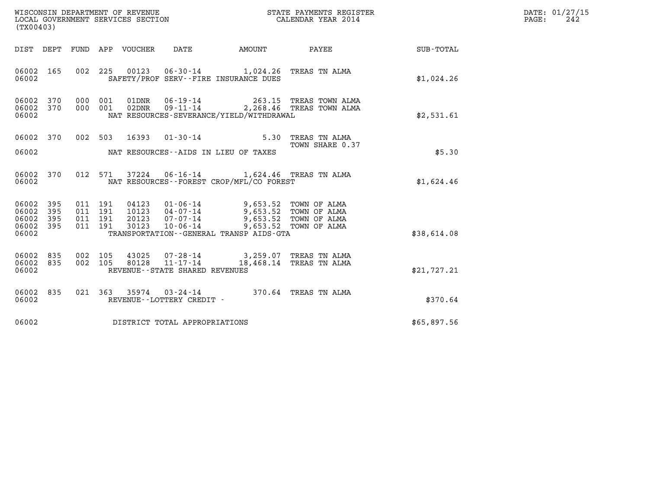| WISCONSIN DEPARTMENT OF REVENUE<br>LOCAL GOVERNMENT SERVICES SECTION | STATE PAYMENTS REGISTER<br>CALENDAR YEAR 2014 | DATE: 01/27/15<br>242<br>PAGE: |
|----------------------------------------------------------------------|-----------------------------------------------|--------------------------------|

| (TX00403)                                         |            |  |                                |                                                                                                                                                                                                                                                                                                                                                                                              |                                                                                                                                                                                                                                                                |             | DATE: 01/27/15<br>$\mathtt{PAGE}$ :<br>242 |
|---------------------------------------------------|------------|--|--------------------------------|----------------------------------------------------------------------------------------------------------------------------------------------------------------------------------------------------------------------------------------------------------------------------------------------------------------------------------------------------------------------------------------------|----------------------------------------------------------------------------------------------------------------------------------------------------------------------------------------------------------------------------------------------------------------|-------------|--------------------------------------------|
|                                                   |            |  |                                |                                                                                                                                                                                                                                                                                                                                                                                              | DIST DEPT FUND APP VOUCHER DATE AMOUNT PAYEE                                                                                                                                                                                                                   | SUB-TOTAL   |                                            |
| 06002 165<br>06002                                |            |  |                                | 002 225 00123 06-30-14 1,024.26 TREAS TN ALMA<br>SAFETY/PROF SERV--FIRE INSURANCE DUES                                                                                                                                                                                                                                                                                                       |                                                                                                                                                                                                                                                                | \$1,024.26  |                                            |
| 06002 370<br>06002 370<br>06002                   |            |  |                                | NAT RESOURCES-SEVERANCE/YIELD/WITHDRAWAL                                                                                                                                                                                                                                                                                                                                                     | $\begin{array}{cccc} 000 & 001 & 01 \text{DNR} & 06 \text{ - } 19 \text{ - } 14 & 263 \text{ .} 15 & \text{TREAS TOWN ALMA} \\ 000 & 001 & 02 \text{DNR} & 09 \text{ - } 11 \text{ - } 14 & 2 \text{ ,} 268 \text{ .} 46 & \text{TREAS TOWN ALMA} \end{array}$ | \$2,531.61  |                                            |
| 06002 370                                         |            |  |                                | 002 503 16393 01-30-14 5.30 TREAS TN ALMA<br>06002 MAT RESOURCES--AIDS IN LIEU OF TAXES                                                                                                                                                                                                                                                                                                      | TOWN SHARE 0.37                                                                                                                                                                                                                                                | \$5.30      |                                            |
| 06002 370<br>06002                                |            |  |                                | 012 571 37224 06-16-14 1,624.46 TREAS TN ALMA<br>NAT RESOURCES--FOREST CROP/MFL/CO FOREST                                                                                                                                                                                                                                                                                                    |                                                                                                                                                                                                                                                                | \$1,624.46  |                                            |
| 06002<br>06002<br>06002 395<br>06002 395<br>06002 | 395<br>395 |  |                                | $\begin{array}{cccccccc} 011 & 191 & 04123 & 01\cdot 06\cdot 14 & & 9\,,653\,.52 & \textrm{TOWN OF ALMA} \\ 011 & 191 & 10123 & 04\cdot 07\cdot 14 & & 9\,,653\,.52 & \textrm{TOWN OF ALMA} \\ 011 & 191 & 20123 & 07\cdot 07\cdot 14 & & 9\,,653\,.52 & \textrm{TOWN OF ALMA} \\ 011 & 191 & 30123 & 10\cdot 06\cdot 14 & & 9\,,653\,.52 & \tex$<br>TRANSPORTATION--GENERAL TRANSP AIDS-GTA |                                                                                                                                                                                                                                                                | \$38,614.08 |                                            |
| 06002 835<br>06002 835<br>06002                   |            |  | REVENUE--STATE SHARED REVENUES | $\begin{array}{cccc} 002 & 105 & 43025 & 07\text{-}28\text{-}14 & 3,259.07 & \text{TREAS TN ALMA} \\ 002 & 105 & 80128 & 11\text{-}17\text{-}14 & 18,468.14 & \text{TREAS TN ALMA} \end{array}$                                                                                                                                                                                              |                                                                                                                                                                                                                                                                | \$21,727.21 |                                            |
| 06002 835<br>06002                                |            |  |                                |                                                                                                                                                                                                                                                                                                                                                                                              |                                                                                                                                                                                                                                                                | \$370.64    |                                            |
| 06002                                             |            |  | DISTRICT TOTAL APPROPRIATIONS  |                                                                                                                                                                                                                                                                                                                                                                                              |                                                                                                                                                                                                                                                                | \$65,897.56 |                                            |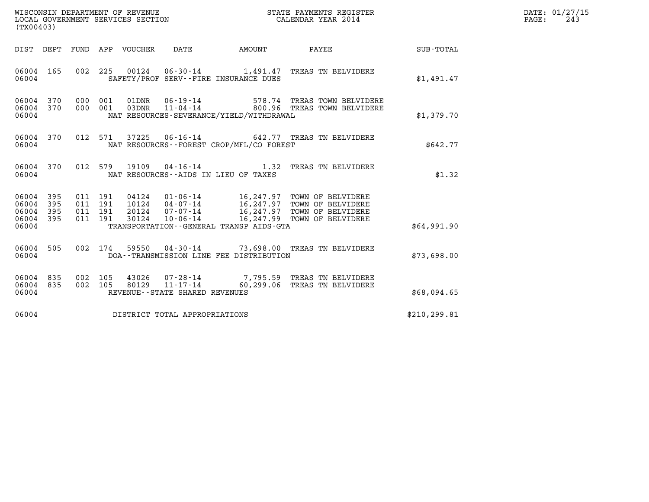| DATE: | 01/27/15 |
|-------|----------|
| PAGE: | 243      |

|                                                           | (TX00403)              |  |                                          |                                 |                                |                                          |                                                                                                                                                                                   |               | DATE: 01/27/15<br>$\mathtt{PAGE:}$<br>243 |
|-----------------------------------------------------------|------------------------|--|------------------------------------------|---------------------------------|--------------------------------|------------------------------------------|-----------------------------------------------------------------------------------------------------------------------------------------------------------------------------------|---------------|-------------------------------------------|
|                                                           |                        |  |                                          | DIST DEPT FUND APP VOUCHER DATE |                                | AMOUNT                                   | <b>PAYEE</b>                                                                                                                                                                      | SUB-TOTAL     |                                           |
| 06004 165<br>06004                                        |                        |  |                                          |                                 |                                | SAFETY/PROF SERV--FIRE INSURANCE DUES    | 002 225 00124 06-30-14 1,491.47 TREAS TN BELVIDERE                                                                                                                                | \$1,491.47    |                                           |
| 06004                                                     | 06004 370<br>06004 370 |  | 000 001<br>000 001                       |                                 |                                | NAT RESOURCES-SEVERANCE/YIELD/WITHDRAWAL | 01DNR     06-19-14                       578.74   TREAS TOWN BELVIDERE<br>03DNR    11-04-14                   800.96   TREAS TOWN BELVIDERE                                       | \$1,379.70    |                                           |
| 06004                                                     | 06004 370              |  |                                          |                                 |                                | NAT RESOURCES--FOREST CROP/MFL/CO FOREST | 012 571 37225 06-16-14 642.77 TREAS TN BELVIDERE                                                                                                                                  | \$642.77      |                                           |
| 06004                                                     | 06004 370              |  |                                          |                                 |                                | NAT RESOURCES--AIDS IN LIEU OF TAXES     | 012 579 19109 04-16-14 1.32 TREAS TN BELVIDERE                                                                                                                                    | \$1.32        |                                           |
| 06004 395<br>06004 395<br>06004 395<br>06004 395<br>06004 |                        |  | 011 191<br>011 191<br>011 191<br>011 191 | 30124                           | $10 - 06 - 14$                 | TRANSPORTATION--GENERAL TRANSP AIDS-GTA  | 04124   01-06-14   16,247.97 TOWN OF BELVIDERE<br>10124   04-07-14   16,247.97 TOWN OF BELVIDERE<br>20124   07-07-14   16,247.97 TOWN OF BELVIDERE<br>16,247.99 TOWN OF BELVIDERE | \$64,991.90   |                                           |
| 06004 505<br>06004                                        |                        |  |                                          |                                 |                                | DOA--TRANSMISSION LINE FEE DISTRIBUTION  | 002 174 59550 04-30-14 73,698.00 TREAS TN BELVIDERE                                                                                                                               | \$73,698.00   |                                           |
| 06004 835<br>06004 835<br>06004                           |                        |  | 002 105<br>002 105                       |                                 | REVENUE--STATE SHARED REVENUES |                                          | 43026  07-28-14  7,795.59 TREAS TN BELVIDERE<br>80129  11-17-14  60,299.06 TREAS TN BELVIDERE                                                                                     | \$68,094.65   |                                           |
| 06004                                                     |                        |  |                                          |                                 | DISTRICT TOTAL APPROPRIATIONS  |                                          |                                                                                                                                                                                   | \$210, 299.81 |                                           |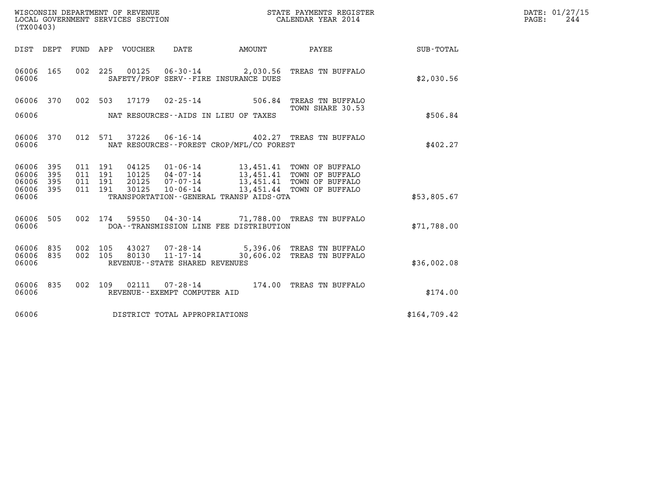| WISCONSIN DEPARTMENT OF REVENUE   | STATE PAYMENTS REGISTER | DATE: 01/27/15 |
|-----------------------------------|-------------------------|----------------|
| LOCAL GOVERNMENT SERVICES SECTION | CALENDAR YEAR 2014      | 244<br>PAGE:   |

| WISCONSIN DEPARTMENT OF REVENUE<br>LOCAL GOVERNMENT SERVICES SECTION<br>(TX00403) |                                                                                                             | STATE PAYMENTS REGISTER<br>CALENDAR YEAR 2014             |              |
|-----------------------------------------------------------------------------------|-------------------------------------------------------------------------------------------------------------|-----------------------------------------------------------|--------------|
| DIST<br>DEPT<br>FUND                                                              | APP<br>VOUCHER<br>DATE                                                                                      | AMOUNT<br>PAYEE                                           | SUB-TOTAL    |
| 06006<br>165<br>002<br>06006                                                      | 225<br>00125<br>SAFETY/PROF SERV--FIRE INSURANCE DUES                                                       | 06-30-14 2,030.56 TREAS TN BUFFALO                        | \$2,030.56   |
| 06006<br>370<br>002                                                               | 503<br>17179<br>$02 - 25 - 14$                                                                              | 506.84<br>TREAS TN BUFFALO<br>TOWN SHARE 30.53            |              |
| 06006                                                                             | NAT RESOURCES--AIDS IN LIEU OF TAXES                                                                        |                                                           | \$506.84     |
| 06006<br>370<br>012<br>06006                                                      | 571<br>37226<br>NAT RESOURCES - - FOREST CROP/MFL/CO FOREST                                                 | 06-16-14 402.27 TREAS TN BUFFALO                          | \$402.27     |
| 395<br>06006<br>011<br>395<br>011<br>06006                                        | 191<br>04125<br>$01 - 06 - 14$<br>191<br>10125<br>$04 - 07 - 14$                                            | 13,451.41<br>TOWN OF BUFFALO<br>13,451.41 TOWN OF BUFFALO |              |
| 06006<br>395<br>011<br>395<br>06006<br>011<br>06006                               | 191<br>20125<br>$07 - 07 - 14$<br>30125<br>$10 - 06 - 14$<br>191<br>TRANSPORTATION--GENERAL TRANSP AIDS-GTA | 13,451.41<br>TOWN OF BUFFALO<br>13,451.44 TOWN OF BUFFALO | \$53,805.67  |
| 06006<br>505<br>002<br>06006                                                      | 174<br>59550<br>$04 - 30 - 14$<br>DOA--TRANSMISSION LINE FEE DISTRIBUTION                                   | 71,788.00 TREAS TN BUFFALO                                | \$71,788.00  |
| 835<br>06006<br>002<br>06006<br>835<br>002<br>06006                               | 105<br>43027<br>$11 - 17 - 14$ 30,606.02<br>105<br>80130<br>REVENUE - - STATE SHARED REVENUES               | 07-28-14 5,396.06 TREAS TN BUFFALO<br>TREAS TN BUFFALO    | \$36,002.08  |
| 835<br>002<br>06006<br>06006                                                      | 109<br>02111<br>$07 - 28 - 14$<br>REVENUE--EXEMPT COMPUTER AID                                              | 174.00 TREAS TN BUFFALO                                   | \$174.00     |
| 06006                                                                             | DISTRICT TOTAL APPROPRIATIONS                                                                               |                                                           | \$164,709.42 |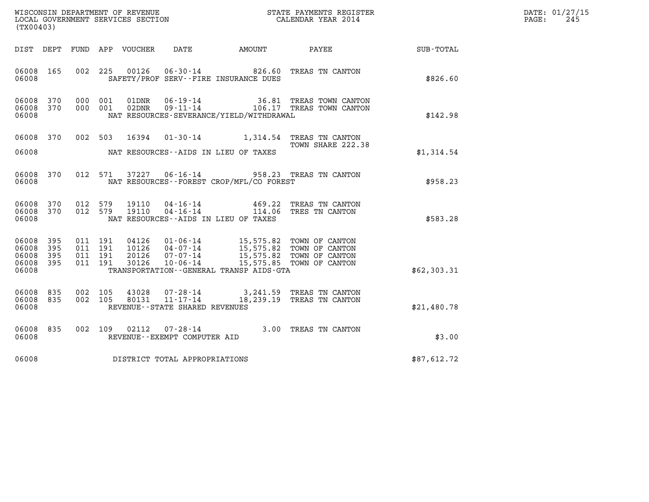| $\mathtt{DATE}$ : | 01/27/15 |
|-------------------|----------|
| PAGE:             | 245      |

| %WISCONSIN DEPARTMENT OF REVENUE $$\tt STATE~PAYMEMTS~REGISTER~LOCAL~GOVERNMENT~SERVICES~SECTION~COUERIMENT~SERVICES~SECTION~CP/2014~CALENDAR~VEAR~2014~CALENDAR~VEAR~2014~CALENDAR~VEAR~2014~CALENDAR~VEAR~2014~CALENDAR~VEAR~2014~CALENDAR~VEAR~2014~CALENDAR~VEAR~2014~CALENDAR~VEAR~2014~CALENDAR~VEAR~2014~CALENDAR~VEAR~2014~CALENDAR~VEAR~2014$<br>(TX00403) |     |                    |                    |                                 |                                                  |                                                                                                                                                                          |                                                                       |                 | DATE: 01/27/15<br>$\mathtt{PAGE}$ :<br>245 |
|---------------------------------------------------------------------------------------------------------------------------------------------------------------------------------------------------------------------------------------------------------------------------------------------------------------------------------------------------------------------|-----|--------------------|--------------------|---------------------------------|--------------------------------------------------|--------------------------------------------------------------------------------------------------------------------------------------------------------------------------|-----------------------------------------------------------------------|-----------------|--------------------------------------------|
|                                                                                                                                                                                                                                                                                                                                                                     |     |                    |                    | DIST DEPT FUND APP VOUCHER DATE |                                                  | AMOUNT                                                                                                                                                                   |                                                                       | PAYEE SUB-TOTAL |                                            |
| 06008 165<br>06008                                                                                                                                                                                                                                                                                                                                                  |     |                    |                    | 002 225 00126                   |                                                  | SAFETY/PROF SERV--FIRE INSURANCE DUES                                                                                                                                    | 06-30-14 826.60 TREAS TN CANTON                                       | \$826.60        |                                            |
| 06008 370<br>06008 370<br>06008                                                                                                                                                                                                                                                                                                                                     |     | 000 001            | 000 001            | 01DNR<br>02DNR                  |                                                  | NAT RESOURCES-SEVERANCE/YIELD/WITHDRAWAL                                                                                                                                 | 06-19-14 36.81 TREAS TOWN CANTON<br>09-11-14 106.17 TREAS TOWN CANTON | \$142.98        |                                            |
| 06008 370<br>06008                                                                                                                                                                                                                                                                                                                                                  |     |                    |                    | 002 503 16394                   |                                                  | NAT RESOURCES--AIDS IN LIEU OF TAXES                                                                                                                                     | 01-30-14 1,314.54 TREAS TN CANTON<br>TOWN SHARE 222.38                | \$1,314.54      |                                            |
| 06008 370<br>06008                                                                                                                                                                                                                                                                                                                                                  |     |                    | 012 571            |                                 |                                                  | NAT RESOURCES - - FOREST CROP/MFL/CO FOREST                                                                                                                              | 37227  06-16-14  958.23  TREAS TN CANTON                              | \$958.23        |                                            |
| 06008<br>06008 370<br>06008                                                                                                                                                                                                                                                                                                                                         | 370 | 012 579<br>012 579 |                    | 19110<br>19110                  |                                                  | 04 - 16 - 14 469.22<br>04 - 16 - 14 114.06<br>NAT RESOURCES--AIDS IN LIEU OF TAXES                                                                                       | TREAS TN CANTON<br>114.06 TRES TN CANTON                              | \$583.28        |                                            |
| 06008 395<br>06008<br>06008 395<br>06008 395<br>06008                                                                                                                                                                                                                                                                                                               | 395 | 011 191<br>011 191 | 011 191<br>011 191 | 20126<br>30126                  | $10 - 06 - 14$                                   | 04126  01-06-14  15,575.82  TOWN OF CANTON<br>10126  04-07-14  15,575.82  TOWN OF CANTON<br>07-07-14 15,575.82 TOWN OF CANTON<br>TRANSPORTATION--GENERAL TRANSP AIDS-GTA | 15,575.85 TOWN OF CANTON                                              | \$62,303.31     |                                            |
| 06008 835<br>06008 835<br>06008                                                                                                                                                                                                                                                                                                                                     |     | 002 105<br>002 105 |                    | 43028<br>80131                  | $11 - 17 - 14$<br>REVENUE--STATE SHARED REVENUES |                                                                                                                                                                          | 07-28-14 3,241.59 TREAS TN CANTON<br>18,239.19 TREAS TN CANTON        | \$21,480.78     |                                            |
| 06008 835<br>06008                                                                                                                                                                                                                                                                                                                                                  |     |                    | 002 109            | 02112                           | REVENUE--EXEMPT COMPUTER AID                     |                                                                                                                                                                          | 07-28-14 3.00 TREAS TN CANTON                                         | \$3.00          |                                            |
| 06008                                                                                                                                                                                                                                                                                                                                                               |     |                    |                    |                                 | DISTRICT TOTAL APPROPRIATIONS                    |                                                                                                                                                                          |                                                                       | \$87,612.72     |                                            |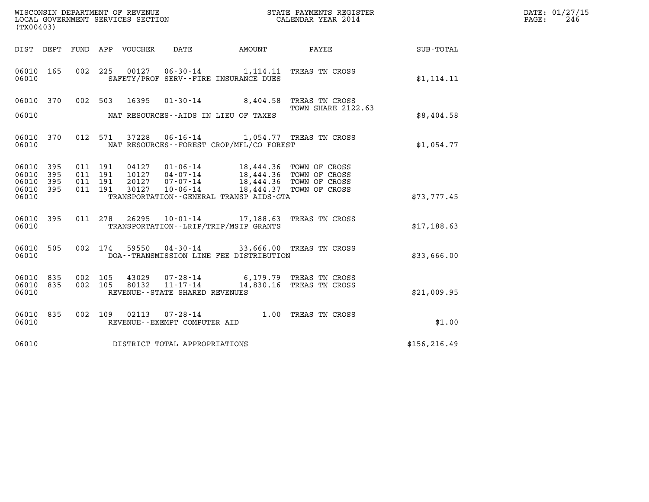| WISCONSIN DEPARTMENT OF REVENUE   | STATE PAYMENTS REGISTER | DATE: 01/27/15 |
|-----------------------------------|-------------------------|----------------|
| LOCAL GOVERNMENT SERVICES SECTION | CALENDAR YEAR 2014      | 246<br>PAGE:   |

| (TX00403)                                           |                                                                                                                                                                                                      |                           |               | DATE: 01/27/15<br>$\mathtt{PAGE}$ :<br>246 |
|-----------------------------------------------------|------------------------------------------------------------------------------------------------------------------------------------------------------------------------------------------------------|---------------------------|---------------|--------------------------------------------|
|                                                     | DIST DEPT FUND APP VOUCHER DATE AMOUNT PAYEE                                                                                                                                                         |                           | SUB-TOTAL     |                                            |
| 06010 165<br>06010                                  | 002 225 00127 06-30-14 1,114.11 TREAS TN CROSS<br>SAFETY/PROF SERV--FIRE INSURANCE DUES                                                                                                              |                           | \$1, 114.11   |                                            |
| 06010 370                                           | 002 503 16395 01-30-14 8,404.58 TREAS TN CROSS                                                                                                                                                       | <b>TOWN SHARE 2122.63</b> |               |                                            |
|                                                     | 06010 MAT RESOURCES--AIDS IN LIEU OF TAXES                                                                                                                                                           |                           | \$8,404.58    |                                            |
| 06010 370<br>06010                                  | 012 571 37228 06-16-14 1,054.77 TREAS TN CROSS<br>NAT RESOURCES--FOREST CROP/MFL/CO FOREST                                                                                                           |                           | \$1,054.77    |                                            |
| 06010 395<br>395<br>06010<br>06010 395<br>06010 395 | 011 191 04127 01-06-14 18,444.36 TOWN OF CROSS<br>011 191 10127 04-07-14 18,444.36 TOWN OF CROSS<br>011 191 20127 07-07-14 18,444.36 TOWN OF CROSS<br>011 191 30127 10-06-14 18,444.37 TOWN OF CROSS |                           |               |                                            |
| 06010                                               | TRANSPORTATION - - GENERAL TRANSP AIDS - GTA                                                                                                                                                         |                           | \$73,777.45   |                                            |
| 06010 395<br>06010                                  | 011 278 26295 10-01-14 17,188.63 TREAS TN CROSS<br>TRANSPORTATION--LRIP/TRIP/MSIP GRANTS                                                                                                             |                           | \$17,188.63   |                                            |
| 06010 505<br>06010                                  | 002 174 59550 04-30-14 33,666.00 TREAS TN CROSS<br>DOA--TRANSMISSION LINE FEE DISTRIBUTION                                                                                                           |                           | \$33,666.00   |                                            |
| 06010 835<br>06010 835<br>06010                     | 002 105 43029 07-28-14 6,179.79 TREAS TN CROSS<br>002 105 80132 11-17-14 14,830.16 TREAS TN CROSS<br>REVENUE--STATE SHARED REVENUES                                                                  |                           | \$21,009.95   |                                            |
| 06010 835<br>06010                                  | 002 109 02113 07-28-14 1.00 TREAS TN CROSS<br>REVENUE--EXEMPT COMPUTER AID                                                                                                                           |                           | \$1.00        |                                            |
| 06010                                               | DISTRICT TOTAL APPROPRIATIONS                                                                                                                                                                        |                           | \$156, 216.49 |                                            |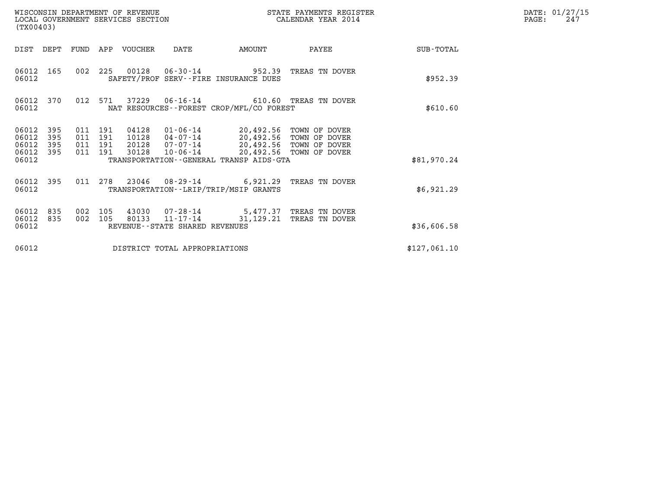| WISCONSIN DEPARTMENT OF REVENUE<br>LOCAL GOVERNMENT SERVICES SECTION<br>(TX00403)                                                                     |                                                                                                                                                                 | STATE PAYMENTS REGISTER<br>CALENDAR YEAR 2014 | DATE: 01/27/15<br>PAGE:<br>247 |
|-------------------------------------------------------------------------------------------------------------------------------------------------------|-----------------------------------------------------------------------------------------------------------------------------------------------------------------|-----------------------------------------------|--------------------------------|
| DIST DEPT<br>FUND APP VOUCHER                                                                                                                         | DATE<br>AMOUNT                                                                                                                                                  | PAYEE                                         | SUB-TOTAL                      |
| 06012 165<br>06012                                                                                                                                    | 002 225 00128 06-30-14 952.39 TREAS TN DOVER<br>SAFETY/PROF SERV--FIRE INSURANCE DUES                                                                           |                                               | \$952.39                       |
| 012 571<br>06012 370<br>06012                                                                                                                         | 37229  06-16-14  610.60  TREAS TN DOVER<br>NAT RESOURCES - - FOREST CROP/MFL/CO FOREST                                                                          |                                               | \$610.60                       |
| 06012<br>395<br>011 191<br>04128<br>06012<br>395<br>011 191<br>10128<br>06012<br>395<br>011 191<br>20128<br>395<br>011 191<br>30128<br>06012<br>06012 | 01-06-14 20,492.56 TOWN OF DOVER<br>04-07-14 20,492.56 TOWN OF DOVER<br>07-07-14 20,492.56 TOWN OF DOVER<br>10-06-14<br>TRANSPORTATION--GENERAL TRANSP AIDS-GTA | 20,492.56 TOWN OF DOVER                       | \$81,970.24                    |
| 011 278<br>06012 395<br>06012                                                                                                                         | 23046 08-29-14 6,921.29 TREAS TN DOVER<br>TRANSPORTATION - - LRIP/TRIP/MSIP GRANTS                                                                              |                                               | \$6,921.29                     |
| 06012<br>002<br>105<br>835<br>002<br>06012<br>835<br>105<br>80133<br>06012                                                                            | 43030  07-28-14  5,477.37  TREAS TN DOVER<br>11-17-14 31,129.21<br>REVENUE--STATE SHARED REVENUES                                                               | TREAS TN DOVER                                | \$36,606.58                    |
| 06012                                                                                                                                                 | DISTRICT TOTAL APPROPRIATIONS                                                                                                                                   |                                               | \$127,061.10                   |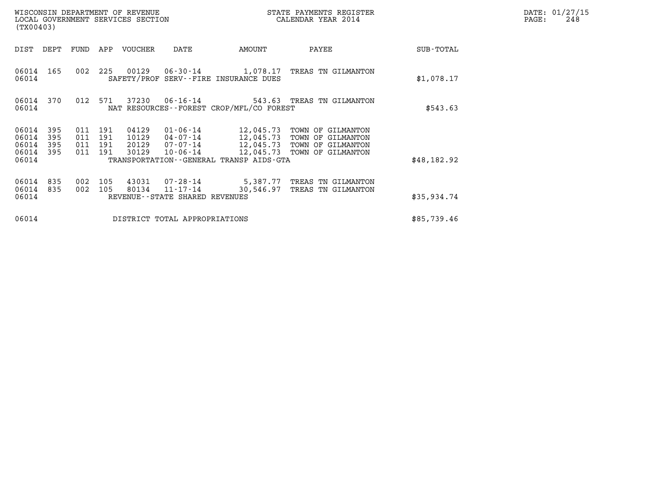|                                  | WISCONSIN DEPARTMENT OF REVENUE<br>STATE PAYMENTS REGISTER<br>LOCAL GOVERNMENT SERVICES SECTION<br>CALENDAR YEAR 2014<br>(TX00403) |                          |                          |                                  |                                                    |                                              |                                                                                                                          |             | DATE: 01/27/15<br>248<br>PAGE: |
|----------------------------------|------------------------------------------------------------------------------------------------------------------------------------|--------------------------|--------------------------|----------------------------------|----------------------------------------------------|----------------------------------------------|--------------------------------------------------------------------------------------------------------------------------|-------------|--------------------------------|
| DIST                             | DEPT                                                                                                                               | FUND                     | APP                      | VOUCHER                          | DATE                                               | AMOUNT                                       | PAYEE                                                                                                                    | SUB-TOTAL   |                                |
| 06014 165<br>06014               |                                                                                                                                    | 002                      | 225                      |                                  |                                                    | SAFETY/PROF SERV--FIRE INSURANCE DUES        | 00129  06-30-14   1,078.17  TREAS TN GILMANTON                                                                           | \$1,078.17  |                                |
| 06014                            | 06014 370                                                                                                                          | 012 571                  |                          | 37230                            | $06 - 16 - 14$                                     | NAT RESOURCES - - FOREST CROP/MFL/CO FOREST  | 543.63 TREAS TN GILMANTON                                                                                                | \$543.63    |                                |
| 06014<br>06014<br>06014<br>06014 | 395<br>395<br>395<br>395                                                                                                           | 011<br>011<br>011<br>011 | 191<br>191<br>191<br>191 | 04129<br>10129<br>20129<br>30129 | 01-06-14<br>04-07-14<br>$07 - 07 - 14$<br>10-06-14 |                                              | 12,045.73 TOWN OF GILMANTON<br>12,045.73 TOWN OF GILMANTON<br>12,045.73 TOWN OF GILMANTON<br>12,045.73 TOWN OF GILMANTON |             |                                |
| 06014                            |                                                                                                                                    |                          |                          |                                  |                                                    | TRANSPORTATION - - GENERAL TRANSP AIDS - GTA |                                                                                                                          | \$48,182.92 |                                |
| 06014<br>06014<br>06014          | 835<br>835                                                                                                                         | 002<br>002               | 105<br>105               | 80134                            | 11-17-14<br>REVENUE--STATE SHARED REVENUES         | 30,546.97                                    | 43031  07-28-14  5,387.77  TREAS TN GILMANTON<br>TREAS TN GILMANTON                                                      | \$35,934.74 |                                |
| 06014                            |                                                                                                                                    |                          |                          |                                  | DISTRICT TOTAL APPROPRIATIONS                      |                                              |                                                                                                                          | \$85,739.46 |                                |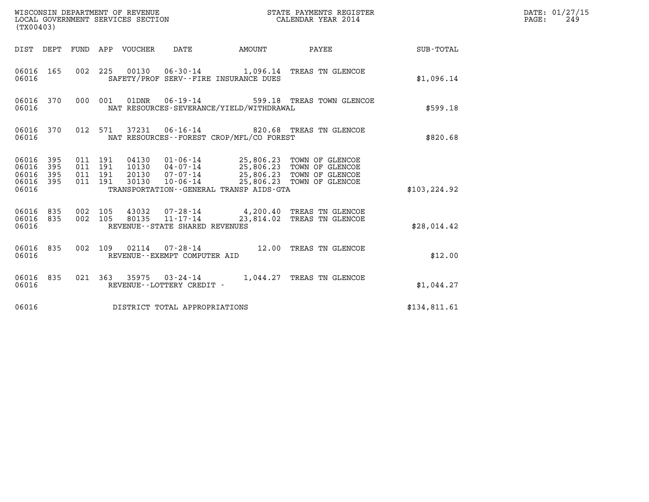| (TX00403)                                         |            |                                          |         |                                 |                                   |                                          | STATE PAYMENTS REGISTER                                                                                                                                                         |               | DATE: 01/27/15<br>$\mathtt{PAGE}$ :<br>249 |
|---------------------------------------------------|------------|------------------------------------------|---------|---------------------------------|-----------------------------------|------------------------------------------|---------------------------------------------------------------------------------------------------------------------------------------------------------------------------------|---------------|--------------------------------------------|
|                                                   |            |                                          |         | DIST DEPT FUND APP VOUCHER DATE |                                   | AMOUNT                                   | PAYEE                                                                                                                                                                           | SUB-TOTAL     |                                            |
| 06016 165<br>06016                                |            |                                          |         |                                 |                                   | SAFETY/PROF SERV--FIRE INSURANCE DUES    | 002 225 00130 06-30-14 1,096.14 TREAS TN GLENCOE                                                                                                                                | \$1,096.14    |                                            |
| 06016 370<br>06016                                |            |                                          |         |                                 | 000 001 01DNR 06-19-14            | NAT RESOURCES-SEVERANCE/YIELD/WITHDRAWAL | 599.18 TREAS TOWN GLENCOE                                                                                                                                                       | \$599.18      |                                            |
| 06016 370<br>06016                                |            |                                          | 012 571 |                                 |                                   | NAT RESOURCES--FOREST CROP/MFL/CO FOREST | 37231  06-16-14  820.68  TREAS TN GLENCOE                                                                                                                                       | \$820.68      |                                            |
| 06016 395<br>06016<br>06016<br>06016 395<br>06016 | 395<br>395 | 011 191<br>011 191<br>011 191<br>011 191 |         | 30130                           |                                   | TRANSPORTATION--GENERAL TRANSP AIDS-GTA  | 04130  01-06-14  25,806.23  TOWN OF GLENCOE<br>10130  04-07-14  25,806.23  TOWN OF GLENCOE<br>20130  07-07-14  25,806.23  TOWN OF GLENCOE<br>10-06-14 25,806.23 TOWN OF GLENCOE | \$103, 224.92 |                                            |
| 06016 835<br>06016                                | 06016 835  | 002 105<br>002 105                       |         |                                 | REVENUE - - STATE SHARED REVENUES |                                          | 43032  07-28-14  4,200.40 TREAS TN GLENCOE<br>80135  11-17-14  23,814.02 TREAS TN GLENCOE                                                                                       | \$28,014.42   |                                            |
| 06016 835<br>06016                                |            | 002 109                                  |         |                                 | REVENUE--EXEMPT COMPUTER AID      |                                          | 02114  07-28-14  12.00 TREAS TN GLENCOE                                                                                                                                         | \$12.00       |                                            |
| 06016 835<br>06016                                |            |                                          |         |                                 | REVENUE--LOTTERY CREDIT -         |                                          | 021 363 35975 03-24-14 1,044.27 TREAS TN GLENCOE                                                                                                                                | \$1,044.27    |                                            |
| 06016                                             |            |                                          |         |                                 | DISTRICT TOTAL APPROPRIATIONS     |                                          |                                                                                                                                                                                 | \$134,811.61  |                                            |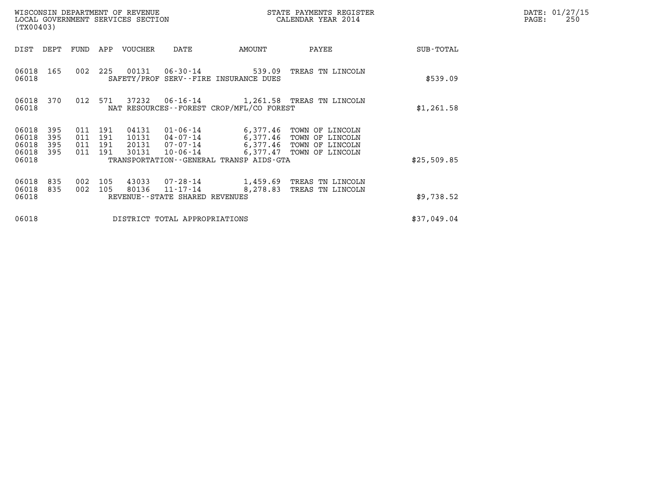| WISCONSIN DEPARTMENT OF REVENUE<br>LOCAL GOVERNMENT SERVICES SECTION<br>(TX00403) |                          |                          |                          |                                  |                                                              |                                                                | STATE PAYMENTS REGISTER<br>CALENDAR YEAR 2014                                                                |             | DATE: 01/27/15<br>PAGE:<br>250 |
|-----------------------------------------------------------------------------------|--------------------------|--------------------------|--------------------------|----------------------------------|--------------------------------------------------------------|----------------------------------------------------------------|--------------------------------------------------------------------------------------------------------------|-------------|--------------------------------|
| DIST                                                                              | DEPT                     | FUND                     | APP                      | VOUCHER                          | DATE                                                         | AMOUNT                                                         | PAYEE                                                                                                        | SUB-TOTAL   |                                |
| 06018 165<br>06018                                                                |                          | 002                      | 225                      |                                  |                                                              | 00131 06-30-14 539.09<br>SAFETY/PROF SERV--FIRE INSURANCE DUES | TREAS TN LINCOLN                                                                                             | \$539.09    |                                |
| 06018                                                                             | 06018 370                | 012 571                  |                          | 37232                            |                                                              | NAT RESOURCES - - FOREST CROP/MFL/CO FOREST                    | 06-16-14 1,261.58 TREAS TN LINCOLN                                                                           | \$1,261.58  |                                |
| 06018<br>06018<br>06018<br>06018                                                  | 395<br>395<br>395<br>395 | 011<br>011<br>011<br>011 | 191<br>191<br>191<br>191 | 04131<br>10131<br>20131<br>30131 | 01-06-14<br>04-07-14<br>07-07-14<br>10-06-14                 |                                                                | 6,377.46 TOWN OF LINCOLN<br>6,377.46 TOWN OF LINCOLN<br>6,377.46 TOWN OF LINCOLN<br>6,377.47 TOWN OF LINCOLN |             |                                |
| 06018                                                                             |                          |                          |                          |                                  |                                                              | TRANSPORTATION - - GENERAL TRANSP AIDS - GTA                   |                                                                                                              | \$25,509.85 |                                |
| 06018<br>06018<br>06018                                                           | 835<br>835               | 002<br>002               | 105<br>105               | 43033<br>80136                   | $07 - 28 - 14$<br>11-17-14<br>REVENUE--STATE SHARED REVENUES | 8,278.83                                                       | 1,459.69 TREAS TN LINCOLN<br>TREAS TN LINCOLN                                                                | \$9,738.52  |                                |
| 06018                                                                             |                          |                          |                          |                                  | DISTRICT TOTAL APPROPRIATIONS                                |                                                                |                                                                                                              | \$37,049.04 |                                |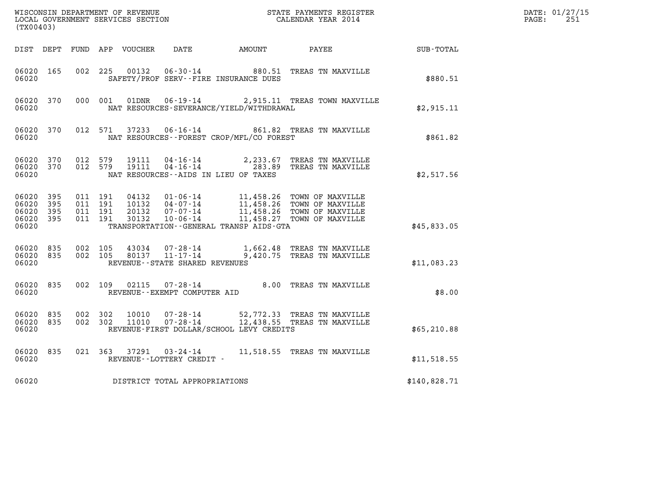|                                               | (TX00403)         |                               |         |                                          |                                   |                                          |                                                                                                                                                                                                                                  |              | DATE: 01/27/15<br>$\mathtt{PAGE:}$<br>251 |
|-----------------------------------------------|-------------------|-------------------------------|---------|------------------------------------------|-----------------------------------|------------------------------------------|----------------------------------------------------------------------------------------------------------------------------------------------------------------------------------------------------------------------------------|--------------|-------------------------------------------|
|                                               |                   |                               |         |                                          |                                   |                                          |                                                                                                                                                                                                                                  | SUB - TOTAL  |                                           |
| 06020 165<br>06020                            |                   |                               | 002 225 | 00132                                    | $06 - 30 - 14$                    | SAFETY/PROF SERV--FIRE INSURANCE DUES    | 880.51 TREAS TN MAXVILLE                                                                                                                                                                                                         | \$880.51     |                                           |
| 06020 370<br>06020                            |                   |                               |         |                                          |                                   | NAT RESOURCES-SEVERANCE/YIELD/WITHDRAWAL | 000 001 01DNR 06-19-14 2,915.11 TREAS TOWN MAXVILLE                                                                                                                                                                              | \$2,915.11   |                                           |
| 06020                                         | 06020 370         |                               |         |                                          |                                   | NAT RESOURCES--FOREST CROP/MFL/CO FOREST | 012 571 37233 06-16-14 861.82 TREAS TN MAXVILLE                                                                                                                                                                                  | \$861.82     |                                           |
| 06020 370<br>06020                            |                   |                               |         | 06020 370 012 579 19111<br>012 579 19111 |                                   | NAT RESOURCES--AIDS IN LIEU OF TAXES     | 04-16-14 2,233.67 TREAS TN MAXVILLE<br>04-16-14 283.89 TREAS TN MAXVILLE                                                                                                                                                         | \$2,517.56   |                                           |
| 06020 395<br>06020<br>06020<br>06020<br>06020 | 395<br>395<br>395 | 011 191<br>011 191<br>011 191 |         | 011 191 30132                            |                                   | TRANSPORTATION--GENERAL TRANSP AIDS-GTA  | 04132     01-06-14     11,458.26     TOWN OF MAXVILLE<br>10132     04-07-14     11,458.26     TOWN OF MAXVILLE<br>20132     07-07-14     11,458.26     TOWN OF MAXVILLE<br>10132     10-06-14     11,458.27     TOWN OF MAXVILLE | \$45,833.05  |                                           |
| 06020                                         |                   |                               |         |                                          | REVENUE - - STATE SHARED REVENUES |                                          | 06020 835 002 105 43034 07-28-14 1,662.48 TREAS TN MAXVILLE<br>06020 835 002 105 80137 11-17-14 9,420.75 TREAS TN MAXVILLE                                                                                                       | \$11,083.23  |                                           |
| 06020 835<br>06020                            |                   |                               |         |                                          | REVENUE--EXEMPT COMPUTER AID      |                                          | 002 109 02115 07-28-14 8.00 TREAS TN MAXVILLE                                                                                                                                                                                    | \$8.00       |                                           |
| 06020 835<br>06020 835<br>06020               |                   | 002 302                       |         |                                          |                                   | REVENUE-FIRST DOLLAR/SCHOOL LEVY CREDITS | 002  302  10010  07-28-14  52,772.33  TREAS TN MAXVILLE<br>002  302  11010  07-28-14  12,438.55  TREAS TN MAXVILLE                                                                                                               | \$65,210.88  |                                           |
| 06020                                         | 06020 835         |                               |         |                                          | REVENUE--LOTTERY CREDIT -         |                                          | 021 363 37291 03-24-14 11,518.55 TREAS TN MAXVILLE                                                                                                                                                                               | \$11,518.55  |                                           |
| 06020                                         |                   |                               |         |                                          | DISTRICT TOTAL APPROPRIATIONS     |                                          |                                                                                                                                                                                                                                  | \$140,828.71 |                                           |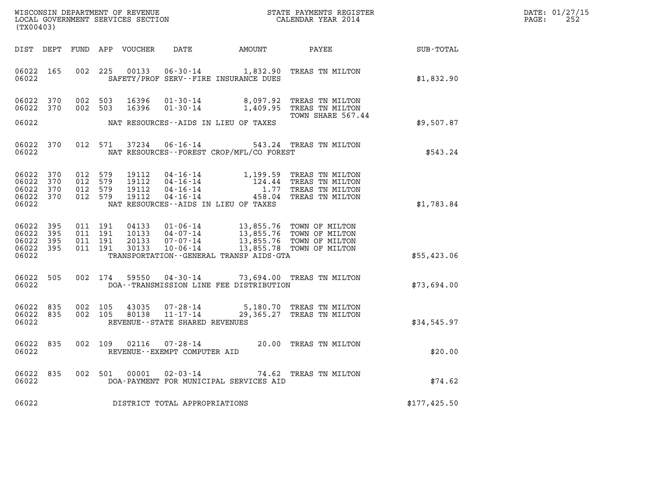| DATE: | 01/27/15 |
|-------|----------|
| PAGE: | 252      |

| (TX00403)                                             |            |  |                                          |                                  |                                                        |                                                                                   |                                                                                                             |              | DATE: 01/27/15<br>$\mathtt{PAGE:}$<br>252 |
|-------------------------------------------------------|------------|--|------------------------------------------|----------------------------------|--------------------------------------------------------|-----------------------------------------------------------------------------------|-------------------------------------------------------------------------------------------------------------|--------------|-------------------------------------------|
| DIST DEPT                                             |            |  |                                          |                                  |                                                        |                                                                                   | FUND APP VOUCHER DATE AMOUNT PAYEE PATE SUB-TOTAL                                                           |              |                                           |
| 06022 165<br>06022                                    |            |  | 002 225                                  | 00133                            |                                                        | SAFETY/PROF SERV--FIRE INSURANCE DUES                                             | 06-30-14 1,832.90 TREAS TN MILTON                                                                           | \$1,832.90   |                                           |
| 06022 370<br>06022 370                                |            |  | 002 503<br>002 503                       | 16396<br>16396                   | $01 - 30 - 14$<br>$01 - 30 - 14$                       |                                                                                   | 8,097.92 TREAS TN MILTON<br>1,409.95 TREAS TN MILTON<br>TOWN SHARE 567.44                                   |              |                                           |
| 06022                                                 |            |  |                                          |                                  |                                                        | NAT RESOURCES--AIDS IN LIEU OF TAXES                                              |                                                                                                             | \$9,507.87   |                                           |
| 06022 370<br>06022                                    |            |  | 012 571                                  | 37234                            |                                                        | NAT RESOURCES--FOREST CROP/MFL/CO FOREST                                          | 06-16-14 543.24 TREAS TN MILTON                                                                             | \$543.24     |                                           |
| 06022 370<br>06022<br>06022 370<br>06022 370<br>06022 | 370        |  | 012 579<br>012 579<br>012 579<br>012 579 | 19112<br>19112<br>19112<br>19112 |                                                        | NAT RESOURCES -- AIDS IN LIEU OF TAXES                                            |                                                                                                             | \$1,783.84   |                                           |
| 06022 395<br>06022<br>06022 395<br>06022 395<br>06022 | 395        |  | 011 191<br>011 191<br>011 191<br>011 191 | 04133<br>10133<br>20133<br>30133 |                                                        | 10-06-14 13,855.78 TOWN OF MILTON<br>TRANSPORTATION - - GENERAL TRANSP AIDS - GTA | 01-06-14 13,855.76 TOWN OF MILTON<br>04-07-14 13,855.76 TOWN OF MILTON<br>07-07-14 13,855.76 TOWN OF MILTON | \$55,423.06  |                                           |
| 06022 505<br>06022                                    |            |  | 002 174                                  | 59550                            |                                                        | DOA--TRANSMISSION LINE FEE DISTRIBUTION                                           | 04-30-14 73,694.00 TREAS TN MILTON                                                                          | \$73,694.00  |                                           |
| 06022<br>06022<br>06022                               | 835<br>835 |  | 002 105<br>002 105                       | 43035<br>80138                   | REVENUE--STATE SHARED REVENUES                         |                                                                                   | 07-28-14 5,180.70 TREAS TN MILTON<br>11-17-14 29,365.27 TREAS TN MILTON                                     | \$34,545.97  |                                           |
| 06022 835<br>06022                                    |            |  |                                          |                                  | 002 109 02116 07-28-14<br>REVENUE--EXEMPT COMPUTER AID |                                                                                   | 20.00 TREAS TN MILTON                                                                                       | \$20.00      |                                           |
| 06022 835<br>06022                                    |            |  |                                          |                                  |                                                        | DOA-PAYMENT FOR MUNICIPAL SERVICES AID                                            | 002 501 00001 02-03-14 74.62 TREAS TN MILTON                                                                | \$74.62      |                                           |
| 06022                                                 |            |  |                                          |                                  | DISTRICT TOTAL APPROPRIATIONS                          |                                                                                   |                                                                                                             | \$177,425.50 |                                           |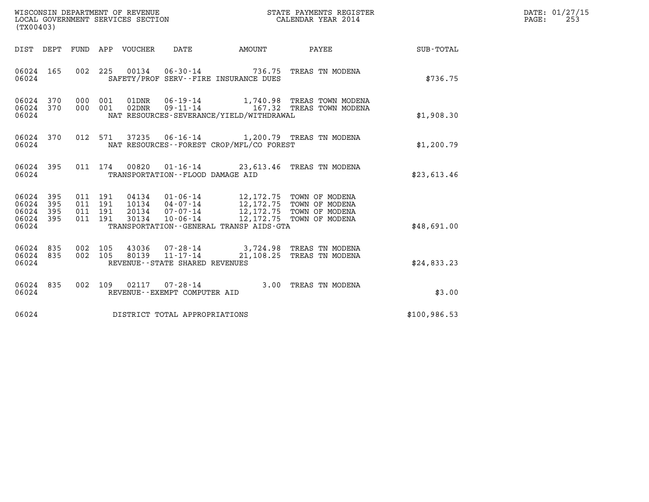| WISCONSIN DEPARTMENT OF REVENUE   | STATE PAYMENTS REGISTER | DATE: 01/27/15 |
|-----------------------------------|-------------------------|----------------|
| LOCAL GOVERNMENT SERVICES SECTION | CALENDAR YEAR 2014      | 253<br>PAGE:   |

| (TX00403)                                             |     |  |                                     |                                             |                                                                                                                                                                                                                                                                                                                                                          |              | DATE: 01/27/15<br>$\mathtt{PAGE:}$<br>253 |
|-------------------------------------------------------|-----|--|-------------------------------------|---------------------------------------------|----------------------------------------------------------------------------------------------------------------------------------------------------------------------------------------------------------------------------------------------------------------------------------------------------------------------------------------------------------|--------------|-------------------------------------------|
|                                                       |     |  |                                     |                                             | DIST DEPT FUND APP VOUCHER DATE AMOUNT PAYEE                                                                                                                                                                                                                                                                                                             | SUB-TOTAL    |                                           |
|                                                       |     |  |                                     | 06024 SAFETY/PROF SERV--FIRE INSURANCE DUES | 06024 165 002 225 00134 06-30-14 736.75 TREAS TN MODENA                                                                                                                                                                                                                                                                                                  | \$736.75     |                                           |
| 06024 370<br>06024 370<br>06024                       |     |  |                                     | NAT RESOURCES-SEVERANCE/YIELD/WITHDRAWAL    | 000 001 01DNR 06-19-14 1,740.98 TREAS TOWN MODENA<br>000 001 02DNR 09-11-14 167.32 TREAS TOWN MODENA                                                                                                                                                                                                                                                     | \$1,908.30   |                                           |
| 06024                                                 |     |  |                                     | NAT RESOURCES--FOREST CROP/MFL/CO FOREST    | 06024 370 012 571 37235 06-16-14 1,200.79 TREAS TN MODENA                                                                                                                                                                                                                                                                                                | \$1,200.79   |                                           |
| 06024                                                 |     |  | TRANSPORTATION -- FLOOD DAMAGE AID  |                                             | 06024 395 011 174 00820 01-16-14 23,613.46 TREAS TN MODENA                                                                                                                                                                                                                                                                                               | \$23,613.46  |                                           |
| 06024 395<br>06024<br>06024 395<br>06024 395<br>06024 | 395 |  |                                     | TRANSPORTATION--GENERAL TRANSP AIDS-GTA     | $\begin{array}{cccccc} 011 & 191 & 04134 & 01\cdot 06\cdot 14 & 12\,172\,.75 & \text{TOWN OF MODENA} \\ 011 & 191 & 10134 & 04\cdot 07\cdot 14 & 12\,172\,.75 & \text{TOWN OF MODENA} \\ 011 & 191 & 20134 & 07\cdot 07\cdot 14 & 12\,172\,.75 & \text{TOWN OF MODENA} \\ 011 & 191 & 30134 & 10\cdot 06\cdot 14 & 12\,172\,.75 & \text{TOWN OF MODENA}$ | \$48,691.00  |                                           |
| 06024 835<br>06024 835<br>06024                       |     |  | REVENUE--STATE SHARED REVENUES      |                                             | 002 105 43036 07-28-14 3,724.98 TREAS TN MODENA<br>002 105 80139 11-17-14 21,108.25 TREAS TN MODENA                                                                                                                                                                                                                                                      | \$24,833.23  |                                           |
| 06024 835<br>06024                                    |     |  | REVENUE--EXEMPT COMPUTER AID        |                                             | 002 109 02117 07-28-14 3.00 TREAS TN MODENA                                                                                                                                                                                                                                                                                                              | \$3.00       |                                           |
|                                                       |     |  | 06024 DISTRICT TOTAL APPROPRIATIONS |                                             |                                                                                                                                                                                                                                                                                                                                                          | \$100,986.53 |                                           |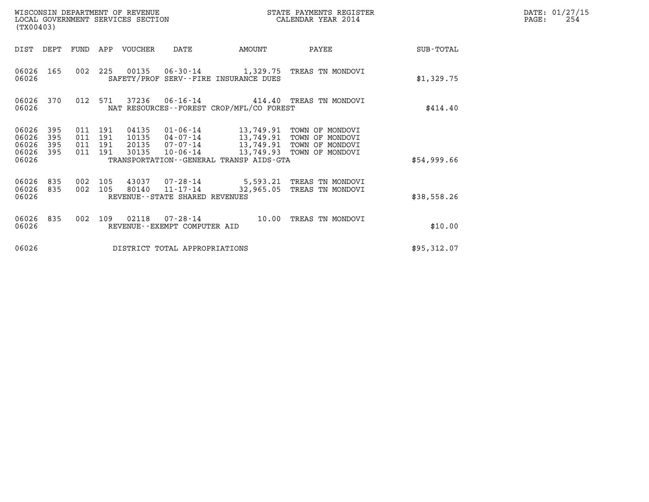| (TX00403)                                                             | WISCONSIN DEPARTMENT OF REVENUE<br>LOCAL GOVERNMENT SERVICES SECTION                                                                                        | STATE PAYMENTS REGISTER<br>CALENDAR YEAR 2014                                                                             |             | DATE: 01/27/15<br>PAGE:<br>254 |
|-----------------------------------------------------------------------|-------------------------------------------------------------------------------------------------------------------------------------------------------------|---------------------------------------------------------------------------------------------------------------------------|-------------|--------------------------------|
| DIST DEPT                                                             | FUND<br>APP VOUCHER<br>DATE                                                                                                                                 | AMOUNT<br>PAYEE                                                                                                           | SUB-TOTAL   |                                |
| 06026<br>165<br>06026                                                 | 002 225<br>SAFETY/PROF SERV--FIRE INSURANCE DUES                                                                                                            | 00135  06-30-14  1,329.75  TREAS TN MONDOVI                                                                               | \$1,329.75  |                                |
| 06026<br>370<br>06026                                                 | 012 571<br>NAT RESOURCES - - FOREST CROP/MFL/CO FOREST                                                                                                      | 37236  06-16-14  414.40  TREAS TN MONDOVI                                                                                 | \$414.40    |                                |
| 06026<br>395<br>06026<br>395<br>06026<br>395<br>395<br>06026<br>06026 | 011 191<br>04135<br>011 191<br>10135<br>04-07-14<br>011 191<br>20135<br>07-07-14<br>011 191<br>30135<br>10-06-14<br>TRANSPORTATION--GENERAL TRANSP AIDS-GTA | 01-06-14 13,749.91 TOWN OF MONDOVI<br>13,749.91 TOWN OF MONDOVI<br>13,749.91 TOWN OF MONDOVI<br>13,749.93 TOWN OF MONDOVI | \$54,999.66 |                                |
| 06026<br>835<br>06026<br>835<br>06026                                 | 002<br>105<br>43037 07-28-14<br>002<br>$11 - 17 - 14$<br>105<br>80140<br>REVENUE--STATE SHARED REVENUES                                                     | 5,593.21 TREAS TN MONDOVI<br>32,965.05<br>TREAS TN MONDOVI                                                                | \$38,558.26 |                                |
| 06026<br>835<br>06026                                                 | 002<br>109<br>02118<br>$07 - 28 - 14$<br>REVENUE - - EXEMPT COMPUTER AID                                                                                    | 10.00<br>TREAS TN MONDOVI                                                                                                 | \$10.00     |                                |
| 06026                                                                 | DISTRICT TOTAL APPROPRIATIONS                                                                                                                               |                                                                                                                           | \$95,312.07 |                                |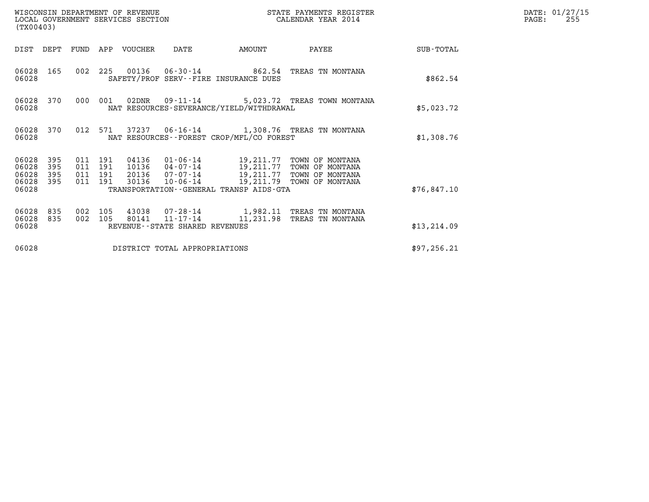| (TX00403)                                 |                          |                                          | WISCONSIN DEPARTMENT OF REVENUE<br>LOCAL GOVERNMENT SERVICES SECTION |                                |                                             | STATE PAYMENTS REGISTER<br>CALENDAR YEAR 2014                                                                                                                                |              | DATE: 01/27/15<br>PAGE:<br>255 |
|-------------------------------------------|--------------------------|------------------------------------------|----------------------------------------------------------------------|--------------------------------|---------------------------------------------|------------------------------------------------------------------------------------------------------------------------------------------------------------------------------|--------------|--------------------------------|
| DIST DEPT                                 |                          |                                          | FUND APP VOUCHER                                                     | DATE                           | AMOUNT                                      | PAYEE                                                                                                                                                                        | SUB-TOTAL    |                                |
| 06028 165<br>06028                        |                          |                                          |                                                                      |                                | SAFETY/PROF SERV--FIRE INSURANCE DUES       | 002 225 00136 06-30-14 862.54 TREAS TN MONTANA                                                                                                                               | \$862.54     |                                |
| 06028 370<br>06028                        |                          | 000 001                                  |                                                                      |                                | NAT RESOURCES-SEVERANCE/YIELD/WITHDRAWAL    | 02DNR  09-11-14  5,023.72 TREAS TOWN MONTANA                                                                                                                                 | \$5,023.72   |                                |
| 06028 370<br>06028                        |                          |                                          |                                                                      |                                | NAT RESOURCES - - FOREST CROP/MFL/CO FOREST | 012 571 37237 06-16-14 1,308.76 TREAS TN MONTANA                                                                                                                             | \$1,308.76   |                                |
| 06028<br>06028<br>06028<br>06028<br>06028 | 395<br>395<br>395<br>395 | 011 191<br>011 191<br>011 191<br>011 191 |                                                                      |                                | TRANSPORTATION--GENERAL TRANSP AIDS-GTA     | 04136 01-06-14 19,211.77 TOWN OF MONTANA<br>10136 04-07-14 19,211.77 TOWN OF MONTANA<br>20136 07-07-14 19,211.77 TOWN OF MONTANA<br>30136 10-06-14 19,211.79 TOWN OF MONTANA | \$76,847.10  |                                |
| 06028<br>06028<br>06028                   | 835<br>835               | 002 105<br>002 105                       |                                                                      | REVENUE--STATE SHARED REVENUES |                                             | 43038  07-28-14   1,982.11 TREAS TN MONTANA<br>80141  11-17-14   11,231.98 TREAS TN MONTANA                                                                                  | \$13, 214.09 |                                |
| 06028                                     |                          |                                          |                                                                      | DISTRICT TOTAL APPROPRIATIONS  |                                             |                                                                                                                                                                              | \$97, 256.21 |                                |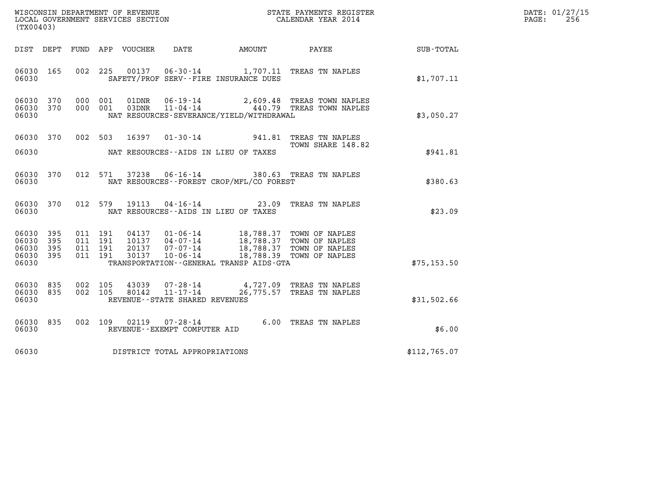| DATE: | 01/27/15 |
|-------|----------|
| PAGE: | 256      |

| (TX00403)                                     |                   |         |                               |                  |                                                     |                                                                                                                                          |                                                                 |                  | DATE: 01/27/15<br>256<br>PAGE: |
|-----------------------------------------------|-------------------|---------|-------------------------------|------------------|-----------------------------------------------------|------------------------------------------------------------------------------------------------------------------------------------------|-----------------------------------------------------------------|------------------|--------------------------------|
| DIST DEPT                                     |                   |         |                               | FUND APP VOUCHER | DATE                                                | AMOUNT                                                                                                                                   | PAYEE                                                           | <b>SUB-TOTAL</b> |                                |
| 06030<br>06030                                | 165               |         | 002 225                       | 00137            |                                                     | SAFETY/PROF SERV--FIRE INSURANCE DUES                                                                                                    | 06-30-14 1,707.11 TREAS TN NAPLES                               | \$1,707.11       |                                |
| 06030<br>06030 370<br>06030                   | 370               |         | 000 001<br>000 001            | 01DNR<br>03DNR   | $11 - 04 - 14$                                      | NAT RESOURCES-SEVERANCE/YIELD/WITHDRAWAL                                                                                                 | 06-19-14 2,609.48 TREAS TOWN NAPLES<br>440.79 TREAS TOWN NAPLES | \$3,050.27       |                                |
| 06030 370                                     |                   |         | 002 503                       | 16397            |                                                     |                                                                                                                                          | 01-30-14 941.81 TREAS TN NAPLES<br>TOWN SHARE 148.82            |                  |                                |
| 06030                                         |                   |         |                               |                  |                                                     | NAT RESOURCES--AIDS IN LIEU OF TAXES                                                                                                     |                                                                 | \$941.81         |                                |
| 06030<br>06030                                | 370               |         | 012 571                       |                  |                                                     | NAT RESOURCES--FOREST CROP/MFL/CO FOREST                                                                                                 | 37238  06-16-14  380.63  TREAS TN NAPLES                        | \$380.63         |                                |
| 06030<br>06030                                | 370               |         | 012 579                       | 19113            |                                                     | $04 - 16 - 14$ 23.09<br>NAT RESOURCES--AIDS IN LIEU OF TAXES                                                                             | TREAS TN NAPLES                                                 | \$23.09          |                                |
| 06030<br>06030<br>06030<br>06030 395<br>06030 | 395<br>395<br>395 | 011 191 | 011 191<br>011 191<br>011 191 | 20137<br>30137   | $07 - 07 - 14$<br>$10 - 06 - 14$                    | 04137  01-06-14  18,788.37  TOWN OF NAPLES<br>10137  04-07-14  18,788.37  TOWN OF NAPLES<br>TRANSPORTATION - - GENERAL TRANSP AIDS - GTA | 18,788.37 TOWN OF NAPLES<br>18,788.39 TOWN OF NAPLES            | \$75, 153.50     |                                |
| 06030<br>06030 835<br>06030                   | 835               |         | 002 105<br>002 105            | 43039<br>80142   | $11 - 17 - 14$<br>REVENUE - - STATE SHARED REVENUES |                                                                                                                                          | 07-28-14 4,727.09 TREAS TN NAPLES<br>26,775.57 TREAS TN NAPLES  | \$31,502.66      |                                |
| 06030<br>06030                                | 835               |         | 002 109                       | 02119            | REVENUE--EXEMPT COMPUTER AID                        |                                                                                                                                          | 07-28-14 6.00 TREAS TN NAPLES                                   | \$6.00           |                                |
| 06030                                         |                   |         |                               |                  | DISTRICT TOTAL APPROPRIATIONS                       |                                                                                                                                          |                                                                 | \$112,765.07     |                                |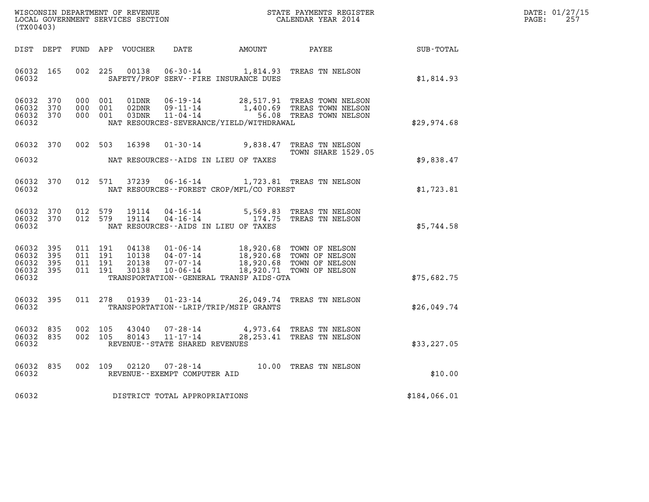| WISCONSIN DEPARTMENT OF REVENUE   | STATE PAYMENTS REGISTER | DATE: 01/27/15 |
|-----------------------------------|-------------------------|----------------|
| LOCAL GOVERNMENT SERVICES SECTION | CALENDAR YEAR 2014      | 257<br>PAGE:   |

| WISCONSIN DEPARTMENT OF REVENUE<br>(TX00403)                                                      | LOCAL GOVERNMENT SERVICES SECTION                                                                                                                                               |                                                  | STATE PAYMENTS REGISTER<br>CALENDAR YEAR 2014                        |              |
|---------------------------------------------------------------------------------------------------|---------------------------------------------------------------------------------------------------------------------------------------------------------------------------------|--------------------------------------------------|----------------------------------------------------------------------|--------------|
| DIST<br>DEPT<br>FUND                                                                              | DATE<br>APP<br>VOUCHER                                                                                                                                                          | AMOUNT                                           | PAYEE                                                                | SUB-TOTAL    |
| 06032<br>165<br>002<br>06032                                                                      | 225<br>00138<br>$06 - 30 - 14$<br>SAFETY/PROF SERV--FIRE INSURANCE DUES                                                                                                         | 1,814.93                                         | TREAS TN NELSON                                                      | \$1,814.93   |
| 370<br>06032<br>000<br>370<br>06032<br>000<br>06032<br>370<br>000<br>06032                        | 001<br>01DNR<br>$06 - 19 - 14$<br>$09 - 11 - 14$<br>001<br>02DNR<br>$11 - 04 - 14$<br>001<br>03DNR<br>NAT RESOURCES-SEVERANCE/YIELD/WITHDRAWAL                                  | 28,517.91<br>1,400.69<br>56.08                   | TREAS TOWN NELSON<br>TREAS TOWN NELSON<br>TREAS TOWN NELSON          | \$29,974.68  |
| 370<br>002<br>06032                                                                               | 503<br>16398<br>$01 - 30 - 14$                                                                                                                                                  | 9,838.47                                         | TREAS TN NELSON<br><b>TOWN SHARE 1529.05</b>                         |              |
| 06032                                                                                             | NAT RESOURCES -- AIDS IN LIEU OF TAXES                                                                                                                                          |                                                  |                                                                      | \$9,838.47   |
| 06032<br>370<br>012<br>06032                                                                      | 571<br>37239<br>$06 - 16 - 14$<br>NAT RESOURCES - - FOREST CROP/MFL/CO FOREST                                                                                                   |                                                  | 1,723.81 TREAS TN NELSON                                             | \$1,723.81   |
| 06032<br>012<br>370<br>012<br>06032<br>370<br>06032                                               | 579<br>19114<br>$04 - 16 - 14$<br>579<br>$04 - 16 - 14$<br>19114<br>NAT RESOURCES -- AIDS IN LIEU OF TAXES                                                                      | 5,569.83<br>174.75                               | TREAS TN NELSON<br>TREAS TN NELSON                                   | \$5,744.58   |
| 06032<br>395<br>011<br>395<br>011<br>06032<br>011<br>06032<br>395<br>06032<br>395<br>011<br>06032 | 191<br>04138<br>$01 - 06 - 14$<br>191<br>$04 - 07 - 14$<br>10138<br>191<br>20138<br>$07 - 07 - 14$<br>191<br>$10 - 06 - 14$<br>30138<br>TRANSPORTATION--GENERAL TRANSP AIDS-GTA | 18,920.68<br>18,920.68<br>18,920.68<br>18,920.71 | TOWN OF NELSON<br>TOWN OF NELSON<br>TOWN OF NELSON<br>TOWN OF NELSON | \$75,682.75  |
| 06032<br>395<br>011<br>06032                                                                      | 278<br>01939<br>$01 - 23 - 14$<br>TRANSPORTATION - - LRIP/TRIP/MSIP GRANTS                                                                                                      | 26,049.74                                        | TREAS TN NELSON                                                      | \$26,049.74  |
| 06032<br>835<br>002<br>835<br>002<br>06032<br>06032                                               | 105<br>43040<br>$07 - 28 - 14$<br>105<br>80143<br>$11 - 17 - 14$<br>REVENUE - - STATE SHARED REVENUES                                                                           | 4,973.64<br>28, 253.41                           | TREAS TN NELSON<br>TREAS TN NELSON                                   | \$33, 227.05 |
| 002<br>06032<br>835<br>06032                                                                      | 109<br>02120<br>$07 - 28 - 14$<br>REVENUE--EXEMPT COMPUTER AID                                                                                                                  | 10.00                                            | TREAS TN NELSON                                                      | \$10.00      |
| 06032                                                                                             | DISTRICT TOTAL APPROPRIATIONS                                                                                                                                                   |                                                  |                                                                      | \$184,066.01 |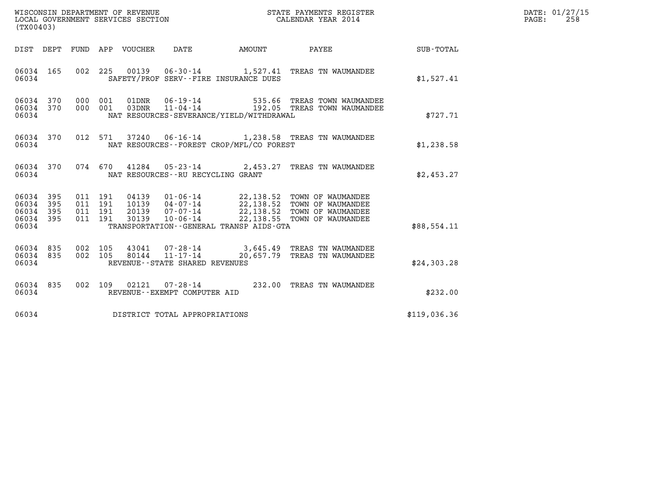| WISCONSIN DEPARTMENT OF REVENUE   | STATE PAYMENTS REGISTER | DATE: 01/27/15 |
|-----------------------------------|-------------------------|----------------|
| LOCAL GOVERNMENT SERVICES SECTION | CALENDAR YEAR 2014      | 258<br>PAGE:   |

| (TX00403)                                             |                        |                               |         |                                        |                                              |                                                                                                                                                                                                  |              | DATE: 01/27/15<br>$\mathtt{PAGE:}$<br>258 |
|-------------------------------------------------------|------------------------|-------------------------------|---------|----------------------------------------|----------------------------------------------|--------------------------------------------------------------------------------------------------------------------------------------------------------------------------------------------------|--------------|-------------------------------------------|
|                                                       |                        |                               |         | DIST DEPT FUND APP VOUCHER DATE AMOUNT |                                              | <b>PAYEE</b> PAYEE                                                                                                                                                                               | SUB-TOTAL    |                                           |
|                                                       | 06034                  |                               |         | SAFETY/PROF SERV--FIRE INSURANCE DUES  |                                              | 06034 165 002 225 00139 06-30-14 1,527.41 TREAS TN WAUMANDEE                                                                                                                                     | \$1,527.41   |                                           |
|                                                       | 06034                  |                               |         |                                        | NAT RESOURCES-SEVERANCE/YIELD/WITHDRAWAL     | 06034 370 000 001 01DNR 06-19-14 535.66 TREAS TOWN WAUMANDEE 06034 370 000 001 03DNR 11-04-14 192.05 TREAS TOWN WAUMANDEE                                                                        | \$727.71     |                                           |
| 06034                                                 |                        |                               |         |                                        | NAT RESOURCES--FOREST CROP/MFL/CO FOREST     | 06034 370 012 571 37240 06-16-14 1,238.58 TREAS TN WAUMANDEE                                                                                                                                     | \$1,238.58   |                                           |
| 06034                                                 |                        |                               |         | NAT RESOURCES--RU RECYCLING GRANT      |                                              | 06034 370 074 670 41284 05-23-14 2,453.27 TREAS TN WAUMANDEE                                                                                                                                     | \$2,453.27   |                                           |
| 06034 395<br>06034<br>06034 395<br>06034 395<br>06034 | 395                    | 011 191<br>011 191<br>011 191 | 011 191 |                                        | TRANSPORTATION - - GENERAL TRANSP AIDS - GTA | 04139  01-06-14  22,138.52  TOWN OF WAUMANDEE<br>10139  04-07-14  22,138.52  TOWN OF WAUMANDEE<br>20139  07-07-14  22,138.52  TOWN OF WAUMANDEE<br>30139  10-06-14  22,138.55  TOWN OF WAUMANDEE | \$88.554.11  |                                           |
| 06034                                                 | 06034 835<br>06034 835 |                               |         | REVENUE - - STATE SHARED REVENUES      |                                              | 002 105 43041 07-28-14 3,645.49 TREAS TN WAUMANDEE<br>002 105 80144 11-17-14 20,657.79 TREAS TN WAUMANDEE                                                                                        | \$24,303.28  |                                           |
| 06034                                                 | 06034 835              |                               |         | REVENUE--EXEMPT COMPUTER AID           |                                              | 002 109 02121 07-28-14 232.00 TREAS TN WAUMANDEE                                                                                                                                                 | \$232.00     |                                           |
| 06034                                                 |                        |                               |         | DISTRICT TOTAL APPROPRIATIONS          |                                              |                                                                                                                                                                                                  | \$119,036.36 |                                           |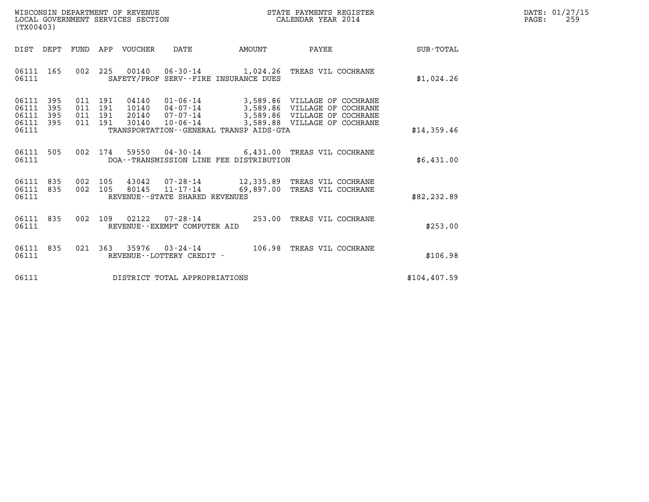| WISCONSIN DEPARTMENT OF REVENUE   | STATE PAYMENTS REGISTER | DATE: 01/27/15 |
|-----------------------------------|-------------------------|----------------|
| LOCAL GOVERNMENT SERVICES SECTION | CALENDAR YEAR 2014      | 259<br>PAGE:   |

| (TX00403)                                                             |                          |                                                              |                |                                         |                                                                                                                                                                     |                  |  |
|-----------------------------------------------------------------------|--------------------------|--------------------------------------------------------------|----------------|-----------------------------------------|---------------------------------------------------------------------------------------------------------------------------------------------------------------------|------------------|--|
| DIST<br>DEPT                                                          | FUND                     | APP<br>VOUCHER                                               | DATE           | AMOUNT                                  | PAYEE                                                                                                                                                               | <b>SUB-TOTAL</b> |  |
| 06111<br>165<br>06111                                                 | 002                      | 225                                                          |                | SAFETY/PROF SERV--FIRE INSURANCE DUES   | 00140  06-30-14   1,024.26  TREAS VIL COCHRANE                                                                                                                      | \$1,024.26       |  |
| 395<br>06111<br>06111<br>395<br>06111<br>395<br>06111<br>395<br>06111 | 011<br>011<br>011<br>011 | 04140<br>191<br>191<br>10140<br>191<br>20140<br>191<br>30140 | $07 - 07 - 14$ | TRANSPORTATION--GENERAL TRANSP AIDS-GTA | $01 - 06 - 14$ 3,589.86 VILLAGE OF COCHRANE<br>04-07-14 3,589.86 VILLAGE OF COCHRANE<br>3,589.86 VILLAGE OF COCHRANE<br>$10 - 06 - 14$ 3,589.88 VILLAGE OF COCHRANE | \$14,359.46      |  |
| 505<br>06111<br>06111                                                 | 002                      | 174                                                          |                | DOA--TRANSMISSION LINE FEE DISTRIBUTION | 59550  04-30-14   6,431.00  TREAS VIL COCHRANE                                                                                                                      | \$6,431.00       |  |
| 06111<br>835<br>835<br>06111<br>06111                                 | 002<br>002               | 105<br>105<br>80145<br>REVENUE--STATE SHARED REVENUES        |                |                                         | 43042  07-28-14   12,335.89   TREAS VIL COCHRANE<br>11-17-14 69,897.00 TREAS VIL COCHRANE                                                                           | \$82, 232.89     |  |
| 835<br>06111<br>06111                                                 | 002                      | 109<br>02122<br>REVENUE--EXEMPT COMPUTER AID                 |                |                                         | 07-28-14 253.00 TREAS VIL COCHRANE                                                                                                                                  | \$253.00         |  |
| 06111<br>835<br>06111                                                 | 021                      | 363<br>REVENUE - - LOTTERY CREDIT -                          | 35976 03-24-14 | 106.98                                  | TREAS VIL COCHRANE                                                                                                                                                  | \$106.98         |  |
| 06111                                                                 |                          | DISTRICT TOTAL APPROPRIATIONS                                |                |                                         |                                                                                                                                                                     | \$104, 407.59    |  |
|                                                                       |                          |                                                              |                |                                         |                                                                                                                                                                     |                  |  |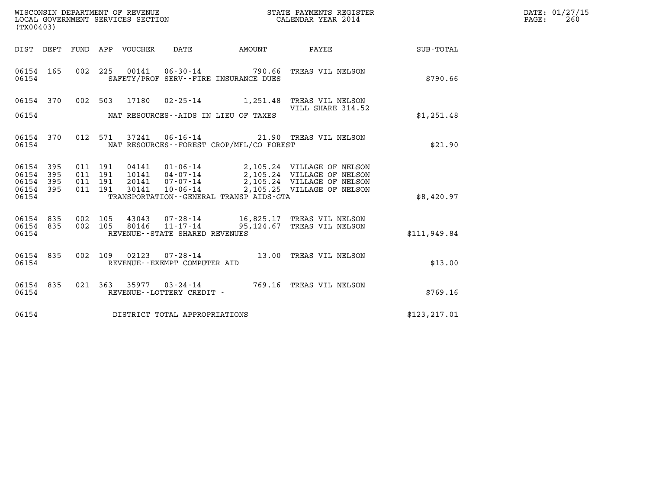| DATE: | 01/27/15 |
|-------|----------|
| PAGE: | 260      |

| (TX00403)              |                                                                                                                                                                                                                                                                                                                                                                                                   |  |  |  |                                |                                                                                              | WISCONSIN DEPARTMENT OF REVENUE<br>LOCAL GOVERNMENT SERVICES SECTION<br>CALENDAR YEAR 2014             | $\mathbb{E}R$<br>DATE: 01/27/15<br>$\mathtt{PAGE:}$<br>260 |  |
|------------------------|---------------------------------------------------------------------------------------------------------------------------------------------------------------------------------------------------------------------------------------------------------------------------------------------------------------------------------------------------------------------------------------------------|--|--|--|--------------------------------|----------------------------------------------------------------------------------------------|--------------------------------------------------------------------------------------------------------|------------------------------------------------------------|--|
|                        |                                                                                                                                                                                                                                                                                                                                                                                                   |  |  |  |                                |                                                                                              | DIST DEPT FUND APP VOUCHER DATE AMOUNT PAYEE TOTAL                                                     |                                                            |  |
| 06154 165<br>06154     |                                                                                                                                                                                                                                                                                                                                                                                                   |  |  |  |                                | SAFETY/PROF SERV--FIRE INSURANCE DUES                                                        | 002 225 00141 06-30-14 790.66 TREAS VIL NELSON                                                         | \$790.66                                                   |  |
|                        |                                                                                                                                                                                                                                                                                                                                                                                                   |  |  |  |                                |                                                                                              | 06154 370 002 503 17180 02-25-14 1,251.48 TREAS VIL NELSON                                             |                                                            |  |
|                        |                                                                                                                                                                                                                                                                                                                                                                                                   |  |  |  |                                |                                                                                              | VILL SHARE 314.52                                                                                      | \$1,251.48                                                 |  |
| 06154 370<br>06154     |                                                                                                                                                                                                                                                                                                                                                                                                   |  |  |  |                                | 012 571 37241 06-16-14 21.90 TREAS VIL NELSON<br>NAT RESOURCES - - FOREST CROP/MFL/CO FOREST | \$21.90                                                                                                |                                                            |  |
| 06154 395<br>06154 395 |                                                                                                                                                                                                                                                                                                                                                                                                   |  |  |  |                                |                                                                                              |                                                                                                        |                                                            |  |
| 06154 395<br>06154 395 |                                                                                                                                                                                                                                                                                                                                                                                                   |  |  |  |                                |                                                                                              |                                                                                                        |                                                            |  |
|                        | $\begin{array}{cccc} 011 & 191 & 04141 & 01\cdot 06\cdot 14 & 2,105\,.24 & \text{VILLAGE OF NELSON} \\ 011 & 191 & 10141 & 04\cdot 07\cdot 14 & 2,105\,.24 & \text{VILLAGE OF NELSON} \\ 011 & 191 & 20141 & 07\cdot 07\cdot 14 & 2,105\,.24 & \text{VILLAGE OF NELSON} \\ 011 & 191 & 30141 & 10\cdot 06\cdot 14 & 2,105\,.25 & \text{VILL$<br>06154<br>TRANSPORTATION - GENERAL TRANSP AIDS-GTA |  |  |  |                                |                                                                                              |                                                                                                        | \$8,420.97                                                 |  |
| 06154 835<br>06154 835 |                                                                                                                                                                                                                                                                                                                                                                                                   |  |  |  |                                |                                                                                              | 002 105 43043 07-28-14 16,825.17 TREAS VIL NELSON<br>002 105 80146 11-17-14 95,124.67 TREAS VIL NELSON |                                                            |  |
| 06154                  |                                                                                                                                                                                                                                                                                                                                                                                                   |  |  |  | REVENUE--STATE SHARED REVENUES |                                                                                              |                                                                                                        | \$111,949.84                                               |  |
| 06154 835<br>06154     |                                                                                                                                                                                                                                                                                                                                                                                                   |  |  |  | REVENUE--EXEMPT COMPUTER AID   |                                                                                              | 002 109 02123 07-28-14 13.00 TREAS VIL NELSON                                                          | \$13.00                                                    |  |
| 06154 835<br>06154     |                                                                                                                                                                                                                                                                                                                                                                                                   |  |  |  | REVENUE--LOTTERY CREDIT -      |                                                                                              | 021 363 35977 03-24-14 769.16 TREAS VIL NELSON                                                         | \$769.16                                                   |  |
|                        | 06154 DISTRICT TOTAL APPROPRIATIONS                                                                                                                                                                                                                                                                                                                                                               |  |  |  |                                |                                                                                              |                                                                                                        | \$123, 217.01                                              |  |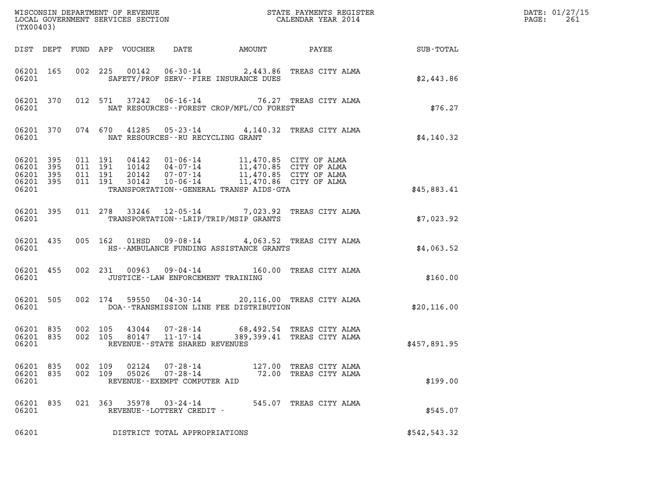| (TX00403)                       |                        |                    |                                          |                                 |                                                      |                                                                                                                                                                                                                         |                                                                                                       |               | DATE: 01/27/15<br>$\mathtt{PAGE}$ :<br>261 |
|---------------------------------|------------------------|--------------------|------------------------------------------|---------------------------------|------------------------------------------------------|-------------------------------------------------------------------------------------------------------------------------------------------------------------------------------------------------------------------------|-------------------------------------------------------------------------------------------------------|---------------|--------------------------------------------|
|                                 |                        |                    |                                          | DIST DEPT FUND APP VOUCHER DATE |                                                      | AMOUNT                                                                                                                                                                                                                  | <b>PAYEE</b> FOR THE PAYEE                                                                            | SUB-TOTAL     |                                            |
| 06201                           | 06201 165              |                    |                                          |                                 |                                                      | SAFETY/PROF SERV--FIRE INSURANCE DUES                                                                                                                                                                                   | 002 225 00142 06-30-14 2,443.86 TREAS CITY ALMA                                                       | \$2,443.86    |                                            |
| 06201                           | 06201 370              |                    |                                          |                                 |                                                      | NAT RESOURCES - - FOREST CROP/MFL/CO FOREST                                                                                                                                                                             | 012 571 37242 06-16-14 76.27 TREAS CITY ALMA                                                          | \$76.27       |                                            |
| 06201                           |                        |                    |                                          |                                 |                                                      | NAT RESOURCES--RU RECYCLING GRANT                                                                                                                                                                                       | 06201 370 074 670 41285 05-23-14 4,140.32 TREAS CITY ALMA                                             | \$4,140.32    |                                            |
| 06201 395<br>06201 395<br>06201 | 06201 395<br>06201 395 |                    | 011 191<br>011 191<br>011 191<br>011 191 |                                 |                                                      | 04142  01-06-14  11,470.85  CITY OF ALMA<br>10142  04-07-14  11,470.85  CITY OF ALMA<br>20142  07-07-14  11,470.85  CITY OF ALMA<br>30142  10-06-14  11,470.86  CITY OF ALMA<br>TRANSPORTATION--GENERAL TRANSP AIDS-GTA |                                                                                                       | \$45,883.41   |                                            |
| 06201                           | 06201 395              |                    |                                          |                                 |                                                      | TRANSPORTATION - - LRIP/TRIP/MSIP GRANTS                                                                                                                                                                                | 011 278 33246 12-05-14 7,023.92 TREAS CITY ALMA                                                       | \$7,023.92    |                                            |
| 06201                           | 06201 435              |                    |                                          |                                 |                                                      | HS--AMBULANCE FUNDING ASSISTANCE GRANTS                                                                                                                                                                                 | 005 162 01HSD 09-08-14 4,063.52 TREAS CITY ALMA                                                       | \$4,063.52    |                                            |
| 06201                           | 06201 455              |                    |                                          |                                 |                                                      | JUSTICE -- LAW ENFORCEMENT TRAINING                                                                                                                                                                                     | 002 231 00963 09-04-14 160.00 TREAS CITY ALMA                                                         | \$160.00      |                                            |
| 06201                           | 06201 505              |                    |                                          |                                 |                                                      | DOA--TRANSMISSION LINE FEE DISTRIBUTION                                                                                                                                                                                 | 002 174 59550 04-30-14 20,116.00 TREAS CITY ALMA                                                      | \$20,116.00   |                                            |
| 06201 835<br>06201              | 06201 835              |                    |                                          |                                 | REVENUE - - STATE SHARED REVENUES                    |                                                                                                                                                                                                                         | 002 105 43044 07-28-14 68,492.54 TREAS CITY ALMA<br>002 105 80147 11-17-14 389,399.41 TREAS CITY ALMA | \$457,891.95  |                                            |
| 06201 835<br>06201 835<br>06201 |                        | 002 109<br>002 109 |                                          | 02124<br>05026                  | 07-28-14<br>07-28-14<br>REVENUE--EXEMPT COMPUTER AID |                                                                                                                                                                                                                         | 127.00 TREAS CITY ALMA<br>72.00 TREAS CITY ALMA                                                       | \$199.00      |                                            |
| 06201 835<br>06201              |                        |                    |                                          | 021 363 35978                   | 03-24-14<br>REVENUE--LOTTERY CREDIT -                |                                                                                                                                                                                                                         | 545.07 TREAS CITY ALMA                                                                                | \$545.07      |                                            |
| 06201                           |                        |                    |                                          |                                 | DISTRICT TOTAL APPROPRIATIONS                        |                                                                                                                                                                                                                         |                                                                                                       | \$542, 543.32 |                                            |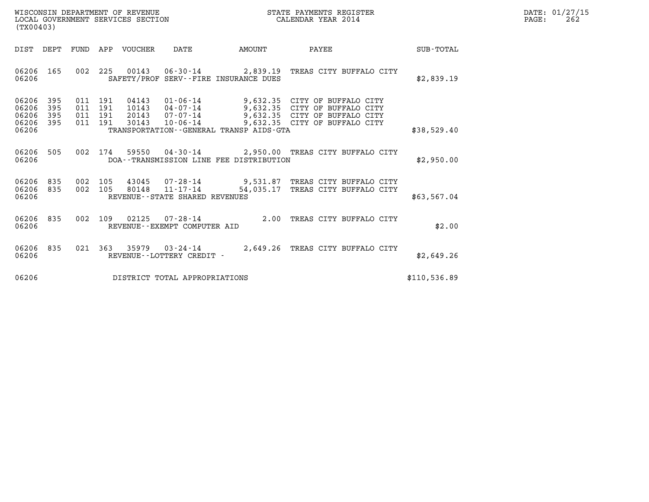| WISCONSIN DEPARTMENT OF REVENUE   | STATE PAYMENTS REGISTER | DATE: 01/27/15 |
|-----------------------------------|-------------------------|----------------|
| LOCAL GOVERNMENT SERVICES SECTION | CALENDAR YEAR 2014      | 262<br>PAGE:   |

| (TX00403)                                                             |                                                      |                                                                                                                                               |                       |                                                                                                                   |              |
|-----------------------------------------------------------------------|------------------------------------------------------|-----------------------------------------------------------------------------------------------------------------------------------------------|-----------------------|-------------------------------------------------------------------------------------------------------------------|--------------|
| DIST<br>DEPT                                                          | <b>FUND</b><br>APP                                   | <b>VOUCHER</b><br>DATE                                                                                                                        | AMOUNT                | PAYEE                                                                                                             | SUB-TOTAL    |
| 06206<br>165<br>06206                                                 | 002<br>225                                           | 00143<br>$06 - 30 - 14$<br>SAFETY/PROF SERV--FIRE INSURANCE DUES                                                                              | 2,839.19              | TREAS CITY BUFFALO CITY                                                                                           | \$2,839.19   |
| 06206<br>395<br>06206<br>395<br>06206<br>395<br>06206<br>395<br>06206 | 011<br>191<br>011<br>191<br>191<br>011<br>011<br>191 | 04143<br>$01 - 06 - 14$<br>10143<br>04-07-14<br>$07 - 07 - 14$<br>20143<br>30143<br>$10 - 06 - 14$<br>TRANSPORTATION--GENERAL TRANSP AIDS-GTA | 9,632.35<br>9,632.35  | CITY OF BUFFALO CITY<br>CITY OF<br>BUFFALO CITY<br>9,632.35 CITY OF BUFFALO CITY<br>9,632.35 CITY OF BUFFALO CITY | \$38,529.40  |
| 505<br>06206<br>06206                                                 | 002<br>174                                           | 59550<br>04 - 30 - 14<br>DOA--TRANSMISSION LINE FEE DISTRIBUTION                                                                              |                       | 2,950.00 TREAS CITY BUFFALO CITY                                                                                  | \$2,950.00   |
| 06206<br>835<br>06206<br>835<br>06206                                 | 002<br>105<br>002<br>105                             | 43045<br>07-28-14<br>$11 - 17 - 14$<br>80148<br>REVENUE--STATE SHARED REVENUES                                                                | 9,531.87<br>54,035.17 | TREAS CITY BUFFALO CITY<br>TREAS CITY BUFFALO CITY                                                                | \$63,567.04  |
| 835<br>06206<br>06206                                                 | 002<br>109                                           | 02125<br>$07 - 28 - 14$<br>REVENUE - - EXEMPT COMPUTER AID                                                                                    | 2.00                  | TREAS CITY BUFFALO CITY                                                                                           | \$2.00       |
| 835<br>06206<br>06206                                                 | 021<br>363                                           | 35979<br>$03 - 24 - 14$<br>REVENUE - - LOTTERY CREDIT -                                                                                       | 2,649.26              | TREAS CITY BUFFALO CITY                                                                                           | \$2,649.26   |
| 06206                                                                 |                                                      | DISTRICT TOTAL APPROPRIATIONS                                                                                                                 |                       |                                                                                                                   | \$110,536.89 |

(TX00403)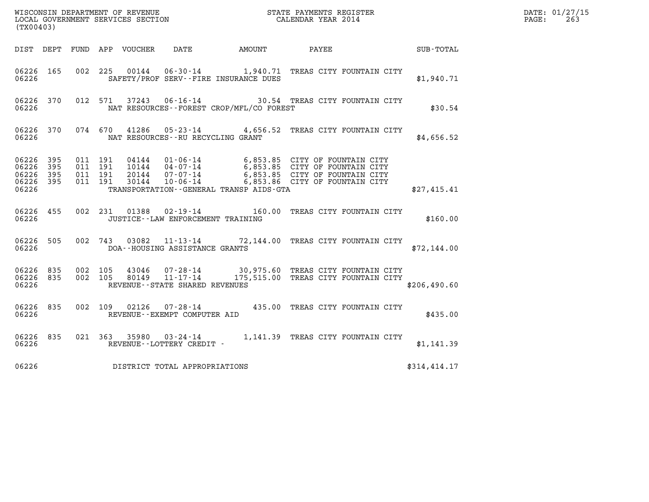| (TX00403)                                                 |  |                               |         |                |                                                     |                                              |                                                                                                                                                                                            |  |              | DATE: 01/27/15<br>$\mathtt{PAGE}$ :<br>263 |
|-----------------------------------------------------------|--|-------------------------------|---------|----------------|-----------------------------------------------------|----------------------------------------------|--------------------------------------------------------------------------------------------------------------------------------------------------------------------------------------------|--|--------------|--------------------------------------------|
|                                                           |  |                               |         |                |                                                     | DIST DEPT FUND APP VOUCHER DATE AMOUNT PAYEE |                                                                                                                                                                                            |  | SUB - TOTAL  |                                            |
| 06226 165<br>06226                                        |  |                               |         |                |                                                     | SAFETY/PROF SERV--FIRE INSURANCE DUES        | 002 225 00144 06-30-14 1,940.71 TREAS CITY FOUNTAIN CITY                                                                                                                                   |  | \$1,940.71   |                                            |
| 06226 370<br>06226                                        |  |                               |         | 012 571 37243  |                                                     | NAT RESOURCES - - FOREST CROP/MFL/CO FOREST  | 06-16-14 30.54 TREAS CITY FOUNTAIN CITY                                                                                                                                                    |  | \$30.54      |                                            |
| 06226 370<br>06226                                        |  |                               |         |                | NAT RESOURCES - - RU RECYCLING GRANT                |                                              | 074 670 41286 05-23-14 4,656.52 TREAS CITY FOUNTAIN CITY                                                                                                                                   |  | \$4,656.52   |                                            |
| 06226 395<br>06226 395<br>06226 395<br>06226 395<br>06226 |  | 011 191<br>011 191<br>011 191 | 011 191 | 30144          | $10 - 06 - 14$                                      | TRANSPORTATION--GENERAL TRANSP AIDS-GTA      | 04144  01-06-14  6,853.85  CITY OF FOUNTAIN CITY<br>10144  04-07-14  6,853.85  CITY OF FOUNTAIN CITY<br>20144  07-07-14  6,853.85  CITY OF FOUNTAIN CITY<br>6,853.86 CITY OF FOUNTAIN CITY |  | \$27,415.41  |                                            |
| 06226 455<br>06226                                        |  |                               |         |                | JUSTICE - - LAW ENFORCEMENT TRAINING                |                                              | 002 231 01388 02-19-14 160.00 TREAS CITY FOUNTAIN CITY                                                                                                                                     |  | \$160.00     |                                            |
| 06226 505<br>06226                                        |  |                               |         |                | DOA--HOUSING ASSISTANCE GRANTS                      |                                              | 002 743 03082 11-13-14 72,144.00 TREAS CITY FOUNTAIN CITY                                                                                                                                  |  | \$72,144.00  |                                            |
| 06226 835<br>06226 835<br>06226                           |  | 002 105<br>002 105            |         | 43046<br>80149 | $11 - 17 - 14$<br>REVENUE - - STATE SHARED REVENUES |                                              | 07-28-14 30,975.60 TREAS CITY FOUNTAIN CITY<br>175,515.00 TREAS CITY FOUNTAIN CITY                                                                                                         |  | \$206,490.60 |                                            |
| 06226 835<br>06226                                        |  |                               | 002 109 |                | REVENUE--EXEMPT COMPUTER AID                        |                                              | 02126  07-28-14  435.00 TREAS CITY FOUNTAIN CITY                                                                                                                                           |  | \$435.00     |                                            |
| 06226 835<br>06226                                        |  |                               |         |                | REVENUE--LOTTERY CREDIT -                           |                                              | 021 363 35980 03-24-14 1,141.39 TREAS CITY FOUNTAIN CITY                                                                                                                                   |  | \$1,141.39   |                                            |
| 06226                                                     |  |                               |         |                | DISTRICT TOTAL APPROPRIATIONS                       |                                              |                                                                                                                                                                                            |  | \$314,414.17 |                                            |